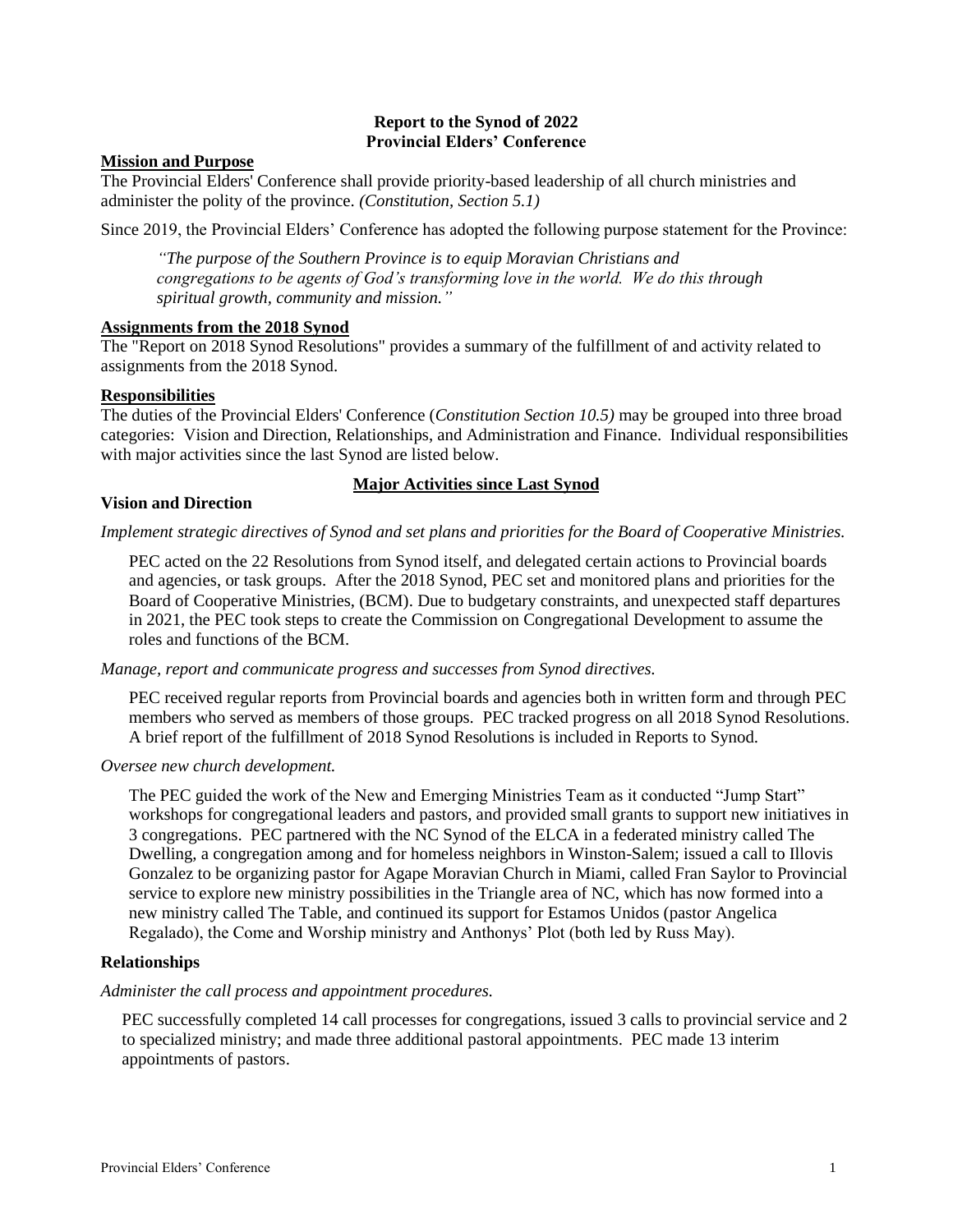### **Report to the Synod of 2022 Provincial Elders' Conference**

### **Mission and Purpose**

The Provincial Elders' Conference shall provide priority-based leadership of all church ministries and administer the polity of the province. *(Constitution, Section 5.1)*

Since 2019, the Provincial Elders' Conference has adopted the following purpose statement for the Province:

*"The purpose of the Southern Province is to equip Moravian Christians and congregations to be agents of God's transforming love in the world. We do this through spiritual growth, community and mission."*

# **Assignments from the 2018 Synod**

The "Report on 2018 Synod Resolutions" provides a summary of the fulfillment of and activity related to assignments from the 2018 Synod.

### **Responsibilities**

The duties of the Provincial Elders' Conference (*Constitution Section 10.5)* may be grouped into three broad categories: Vision and Direction, Relationships, and Administration and Finance. Individual responsibilities with major activities since the last Synod are listed below.

# **Major Activities since Last Synod**

### **Vision and Direction**

# *Implement strategic directives of Synod and set plans and priorities for the Board of Cooperative Ministries.*

PEC acted on the 22 Resolutions from Synod itself, and delegated certain actions to Provincial boards and agencies, or task groups. After the 2018 Synod, PEC set and monitored plans and priorities for the Board of Cooperative Ministries, (BCM). Due to budgetary constraints, and unexpected staff departures in 2021, the PEC took steps to create the Commission on Congregational Development to assume the roles and functions of the BCM.

*Manage, report and communicate progress and successes from Synod directives.*

PEC received regular reports from Provincial boards and agencies both in written form and through PEC members who served as members of those groups. PEC tracked progress on all 2018 Synod Resolutions. A brief report of the fulfillment of 2018 Synod Resolutions is included in Reports to Synod.

*Oversee new church development.*

The PEC guided the work of the New and Emerging Ministries Team as it conducted "Jump Start" workshops for congregational leaders and pastors, and provided small grants to support new initiatives in 3 congregations. PEC partnered with the NC Synod of the ELCA in a federated ministry called The Dwelling, a congregation among and for homeless neighbors in Winston-Salem; issued a call to Illovis Gonzalez to be organizing pastor for Agape Moravian Church in Miami, called Fran Saylor to Provincial service to explore new ministry possibilities in the Triangle area of NC, which has now formed into a new ministry called The Table, and continued its support for Estamos Unidos (pastor Angelica Regalado), the Come and Worship ministry and Anthonys' Plot (both led by Russ May).

# **Relationships**

# *Administer the call process and appointment procedures.*

PEC successfully completed 14 call processes for congregations, issued 3 calls to provincial service and 2 to specialized ministry; and made three additional pastoral appointments. PEC made 13 interim appointments of pastors.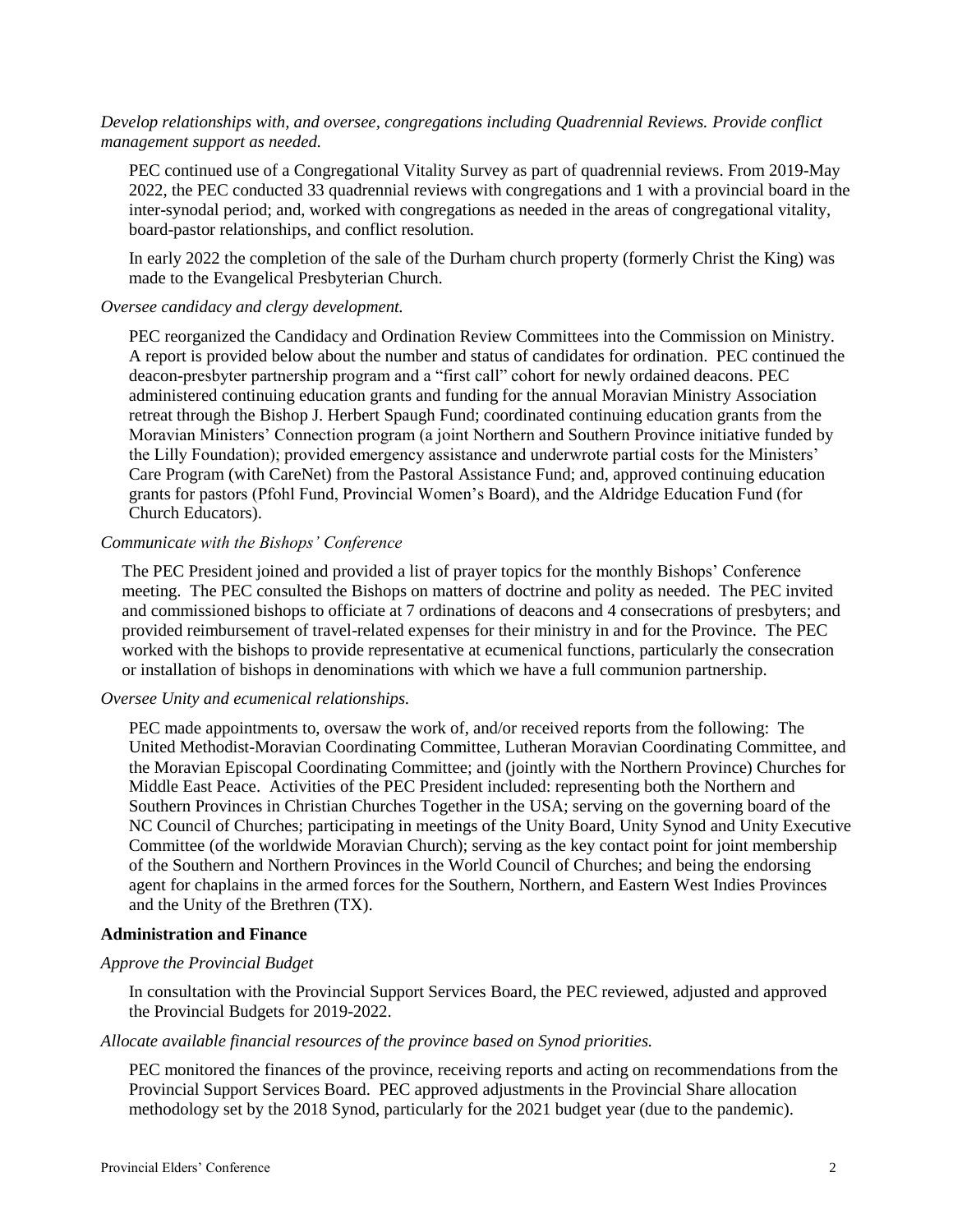# *Develop relationships with, and oversee, congregations including Quadrennial Reviews. Provide conflict management support as needed.*

PEC continued use of a Congregational Vitality Survey as part of quadrennial reviews. From 2019-May 2022, the PEC conducted 33 quadrennial reviews with congregations and 1 with a provincial board in the inter-synodal period; and, worked with congregations as needed in the areas of congregational vitality, board-pastor relationships, and conflict resolution.

In early 2022 the completion of the sale of the Durham church property (formerly Christ the King) was made to the Evangelical Presbyterian Church.

# *Oversee candidacy and clergy development.*

PEC reorganized the Candidacy and Ordination Review Committees into the Commission on Ministry. A report is provided below about the number and status of candidates for ordination. PEC continued the deacon-presbyter partnership program and a "first call" cohort for newly ordained deacons. PEC administered continuing education grants and funding for the annual Moravian Ministry Association retreat through the Bishop J. Herbert Spaugh Fund; coordinated continuing education grants from the Moravian Ministers' Connection program (a joint Northern and Southern Province initiative funded by the Lilly Foundation); provided emergency assistance and underwrote partial costs for the Ministers' Care Program (with CareNet) from the Pastoral Assistance Fund; and, approved continuing education grants for pastors (Pfohl Fund, Provincial Women's Board), and the Aldridge Education Fund (for Church Educators).

# *Communicate with the Bishops' Conference*

The PEC President joined and provided a list of prayer topics for the monthly Bishops' Conference meeting. The PEC consulted the Bishops on matters of doctrine and polity as needed. The PEC invited and commissioned bishops to officiate at 7 ordinations of deacons and 4 consecrations of presbyters; and provided reimbursement of travel-related expenses for their ministry in and for the Province. The PEC worked with the bishops to provide representative at ecumenical functions, particularly the consecration or installation of bishops in denominations with which we have a full communion partnership.

#### *Oversee Unity and ecumenical relationships.*

PEC made appointments to, oversaw the work of, and/or received reports from the following: The United Methodist-Moravian Coordinating Committee, Lutheran Moravian Coordinating Committee, and the Moravian Episcopal Coordinating Committee; and (jointly with the Northern Province) Churches for Middle East Peace. Activities of the PEC President included: representing both the Northern and Southern Provinces in Christian Churches Together in the USA; serving on the governing board of the NC Council of Churches; participating in meetings of the Unity Board, Unity Synod and Unity Executive Committee (of the worldwide Moravian Church); serving as the key contact point for joint membership of the Southern and Northern Provinces in the World Council of Churches; and being the endorsing agent for chaplains in the armed forces for the Southern, Northern, and Eastern West Indies Provinces and the Unity of the Brethren (TX).

### **Administration and Finance**

### *Approve the Provincial Budget*

In consultation with the Provincial Support Services Board, the PEC reviewed, adjusted and approved the Provincial Budgets for 2019-2022.

### *Allocate available financial resources of the province based on Synod priorities.*

PEC monitored the finances of the province, receiving reports and acting on recommendations from the Provincial Support Services Board. PEC approved adjustments in the Provincial Share allocation methodology set by the 2018 Synod, particularly for the 2021 budget year (due to the pandemic).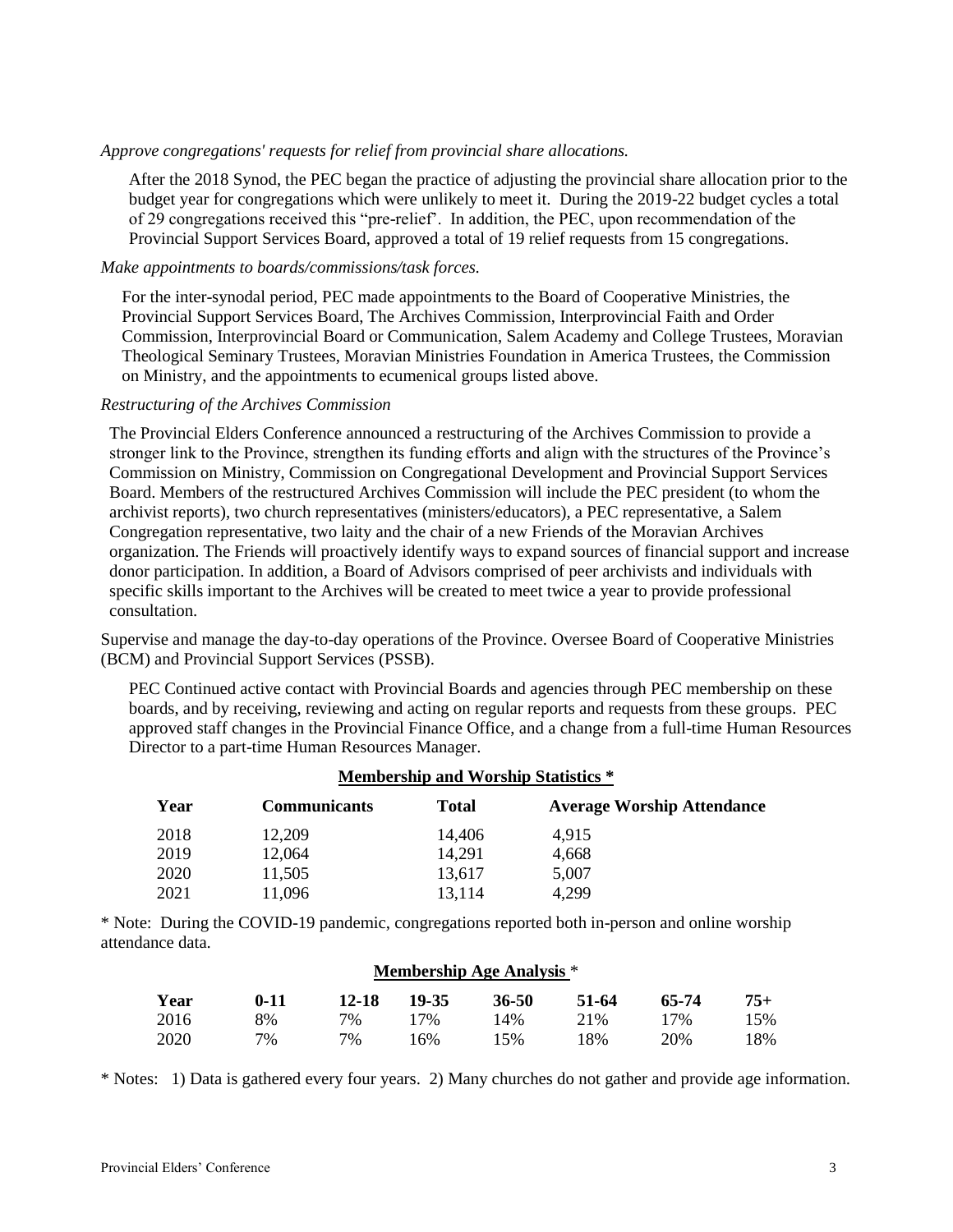# *Approve congregations' requests for relief from provincial share allocations.*

After the 2018 Synod, the PEC began the practice of adjusting the provincial share allocation prior to the budget year for congregations which were unlikely to meet it. During the 2019-22 budget cycles a total of 29 congregations received this "pre-relief'. In addition, the PEC, upon recommendation of the Provincial Support Services Board, approved a total of 19 relief requests from 15 congregations.

### *Make appointments to boards/commissions/task forces.*

For the inter-synodal period, PEC made appointments to the Board of Cooperative Ministries, the Provincial Support Services Board, The Archives Commission, Interprovincial Faith and Order Commission, Interprovincial Board or Communication, Salem Academy and College Trustees, Moravian Theological Seminary Trustees, Moravian Ministries Foundation in America Trustees, the Commission on Ministry, and the appointments to ecumenical groups listed above.

### *Restructuring of the Archives Commission*

The Provincial Elders Conference announced a restructuring of the Archives Commission to provide a stronger link to the Province, strengthen its funding efforts and align with the structures of the Province's Commission on Ministry, Commission on Congregational Development and Provincial Support Services Board. Members of the restructured Archives Commission will include the PEC president (to whom the archivist reports), two church representatives (ministers/educators), a PEC representative, a Salem Congregation representative, two laity and the chair of a new Friends of the Moravian Archives organization. The Friends will proactively identify ways to expand sources of financial support and increase donor participation. In addition, a Board of Advisors comprised of peer archivists and individuals with specific skills important to the Archives will be created to meet twice a year to provide professional consultation.

Supervise and manage the day-to-day operations of the Province. Oversee Board of Cooperative Ministries (BCM) and Provincial Support Services (PSSB).

PEC Continued active contact with Provincial Boards and agencies through PEC membership on these boards, and by receiving, reviewing and acting on regular reports and requests from these groups. PEC approved staff changes in the Provincial Finance Office, and a change from a full-time Human Resources Director to a part-time Human Resources Manager.

| <b>Membership and Worship Statistics *</b> |                     |              |                                   |  |
|--------------------------------------------|---------------------|--------------|-----------------------------------|--|
| Year                                       | <b>Communicants</b> | <b>Total</b> | <b>Average Worship Attendance</b> |  |
| 2018                                       | 12,209              | 14,406       | 4.915                             |  |
| 2019                                       | 12,064              | 14.291       | 4,668                             |  |
| 2020                                       | 11,505              | 13,617       | 5.007                             |  |
| 2021                                       | 11,096              | 13,114       | 4.299                             |  |

# **Membership and Worship Statistics \***

\* Note: During the COVID-19 pandemic, congregations reported both in-person and online worship attendance data.

| <b>Membership Age Analysis</b> * |          |       |       |       |       |       |       |
|----------------------------------|----------|-------|-------|-------|-------|-------|-------|
| Year                             | $0 - 11$ | 12-18 | 19-35 | 36-50 | 51-64 | 65-74 | $75+$ |
| 2016                             | 8%       | 7%    | 17%   | 14%   | 21\%  | 17%   | 15%   |
| 2020                             | $7\%$    | 7%    | 16%   | 15%   | 18%   | 20%   | 18%   |

\* Notes: 1) Data is gathered every four years. 2) Many churches do not gather and provide age information.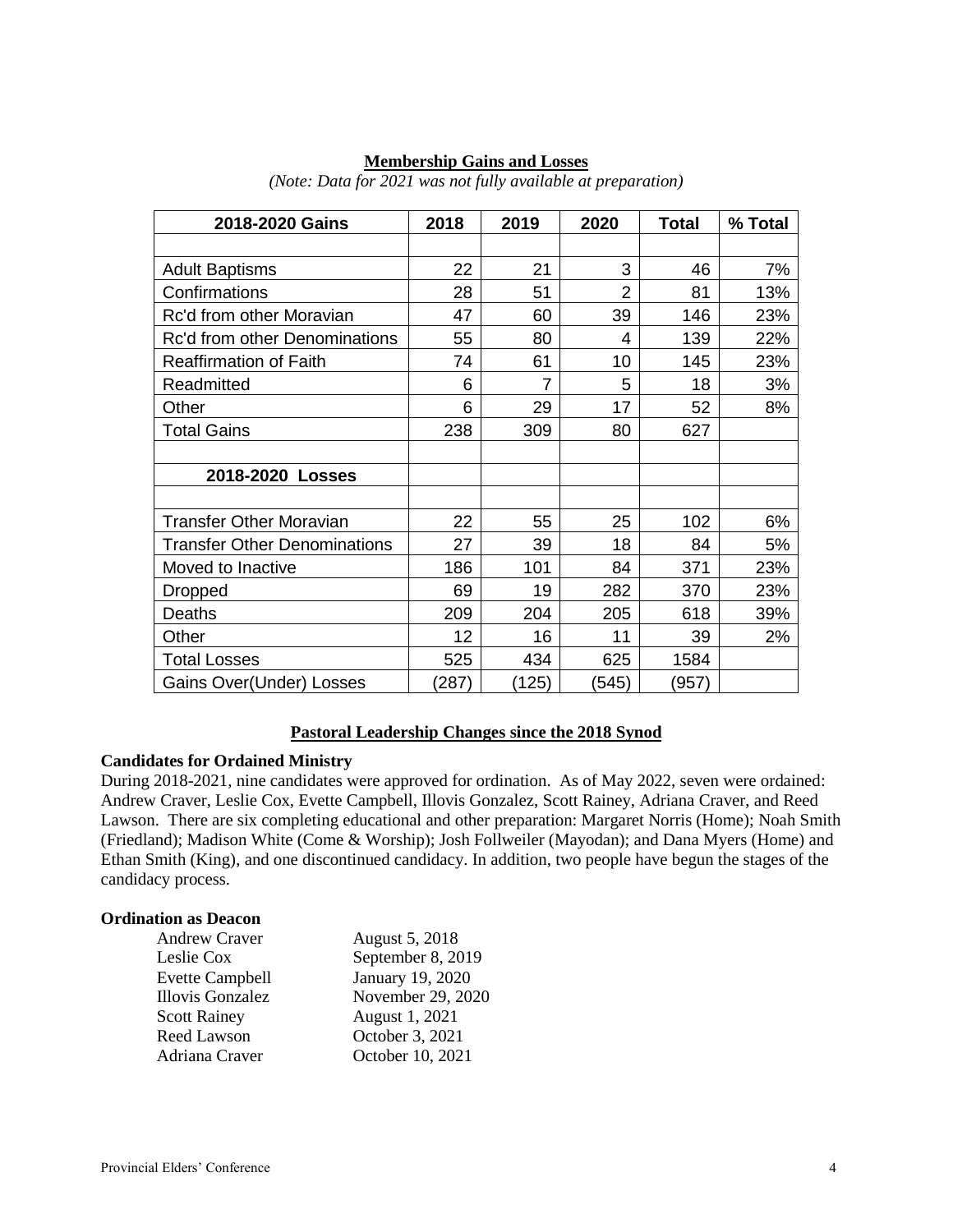| 2018-2020 Gains                     | 2018  | 2019           | 2020           | <b>Total</b> | % Total |
|-------------------------------------|-------|----------------|----------------|--------------|---------|
|                                     |       |                |                |              |         |
| <b>Adult Baptisms</b>               | 22    | 21             | 3              | 46           | 7%      |
| Confirmations                       | 28    | 51             | $\overline{2}$ | 81           | 13%     |
| Rc'd from other Moravian            | 47    | 60             | 39             | 146          | 23%     |
| Rc'd from other Denominations       | 55    | 80             | 4              | 139          | 22%     |
| <b>Reaffirmation of Faith</b>       | 74    | 61             | 10             | 145          | 23%     |
| Readmitted                          | 6     | $\overline{7}$ | 5              | 18           | 3%      |
| Other                               | 6     | 29             | 17             | 52           | 8%      |
| <b>Total Gains</b>                  | 238   | 309            | 80             | 627          |         |
|                                     |       |                |                |              |         |
| 2018-2020 Losses                    |       |                |                |              |         |
|                                     |       |                |                |              |         |
| <b>Transfer Other Moravian</b>      | 22    | 55             | 25             | 102          | 6%      |
| <b>Transfer Other Denominations</b> | 27    | 39             | 18             | 84           | 5%      |
| Moved to Inactive                   | 186   | 101            | 84             | 371          | 23%     |
| Dropped                             | 69    | 19             | 282            | 370          | 23%     |
| Deaths                              | 209   | 204            | 205            | 618          | 39%     |
| Other                               | 12    | 16             | 11             | 39           | 2%      |
| <b>Total Losses</b>                 | 525   | 434            | 625            | 1584         |         |
| Gains Over(Under) Losses            | (287) | (125)          | (545)          | (957)        |         |

### **Membership Gains and Losses**

*(Note: Data for 2021 was not fully available at preparation)*

### **Pastoral Leadership Changes since the 2018 Synod**

### **Candidates for Ordained Ministry**

During 2018-2021, nine candidates were approved for ordination. As of May 2022, seven were ordained: Andrew Craver, Leslie Cox, Evette Campbell, Illovis Gonzalez, Scott Rainey, Adriana Craver, and Reed Lawson. There are six completing educational and other preparation: Margaret Norris (Home); Noah Smith (Friedland); Madison White (Come & Worship); Josh Follweiler (Mayodan); and Dana Myers (Home) and Ethan Smith (King), and one discontinued candidacy. In addition, two people have begun the stages of the candidacy process.

# **Ordination as Deacon**

| <b>Andrew Craver</b>   | August 5, 2018    |
|------------------------|-------------------|
| Leslie Cox             | September 8, 2019 |
| <b>Evette Campbell</b> | January 19, 2020  |
| Illovis Gonzalez       | November 29, 2020 |
| <b>Scott Rainey</b>    | August 1, 2021    |
| Reed Lawson            | October 3, 2021   |
| Adriana Craver         | October 10, 2021  |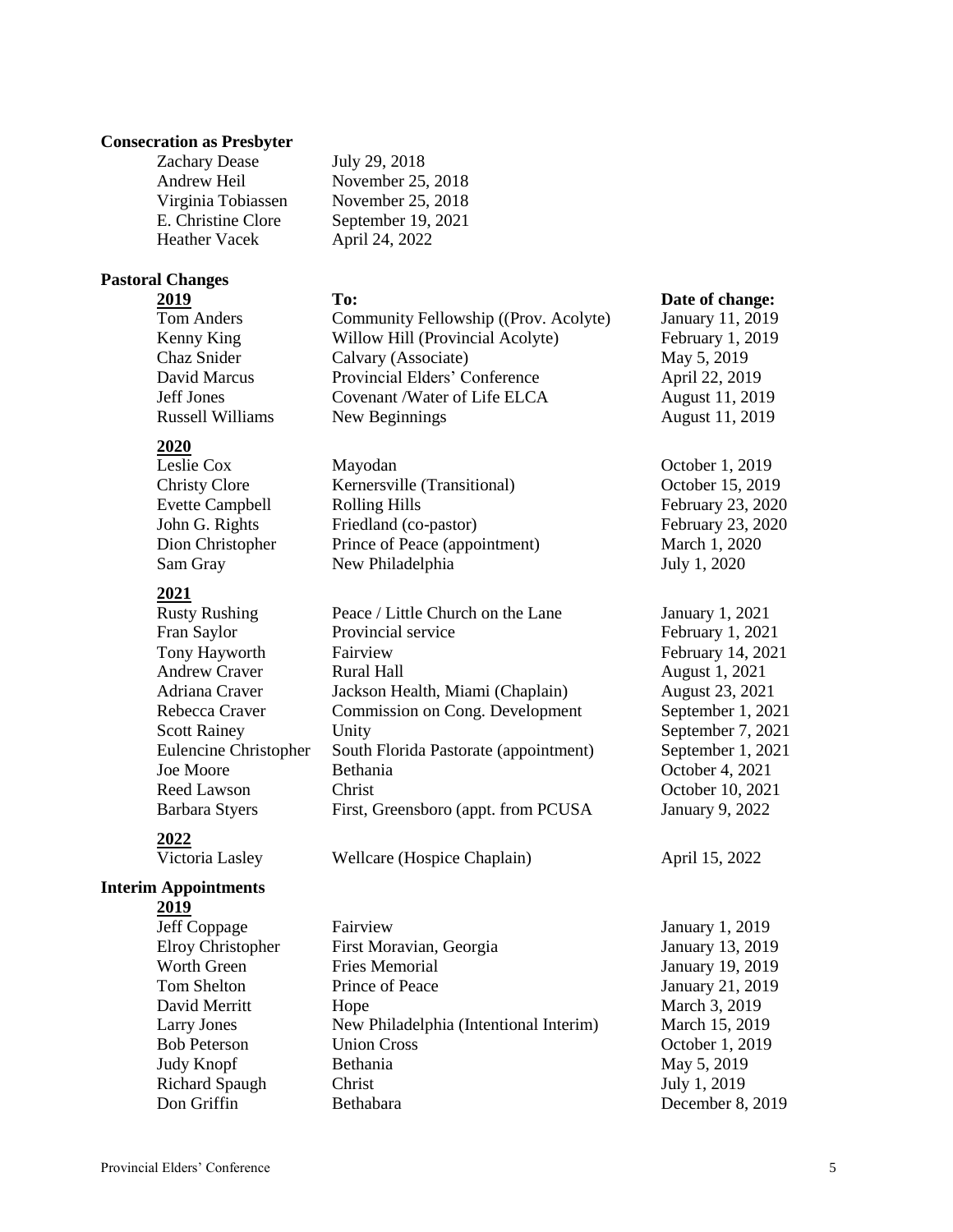### **Consecration as Presbyter**

Zachary Dease July 29, 2018 Heather Vacek April 24, 2022

Andrew Heil November 25, 2018 Virginia Tobiassen November 25, 2018 E. Christine Clore September 19, 2021

# **Pastoral Changes**

Chaz Snider Calvary (Associate) May 5, 2019 David Marcus Provincial Elders' Conference April 22, 2019 Jeff Jones Covenant /Water of Life ELCA August 11, 2019 Russell Williams New Beginnings August 11, 2019

# **2020**

Leslie Cox Mayodan Deslie Cox Mayodan Deslie Cox Deslie Cox Deslie Cox Deslie Cox Deslie Cox Deslie Cox Deslie Cox Deslie Cox Deslie Cox Deslie Cox Deslie Cox Deslie Cox Deslie Cox Deslie Cox Deslie Cox Deslie Cox Deslie C Christy Clore Kernersville (Transitional) October 15, 2019 Dion Christopher Prince of Peace (appointment) March 1, 2020 Sam Gray New Philadelphia July 1, 2020

# **2021**

Rusty Rushing Peace / Little Church on the Lane January 1, 2021 Fran Saylor **Provincial service** February 1, 2021 Tony Hayworth Fairview February 14, 2021 Andrew Craver **Rural Hall August 1, 2021** Adriana Craver Jackson Health, Miami (Chaplain) August 23, 2021 Rebecca Craver Commission on Cong. Development September 1, 2021 Scott Rainey Unity Unity September 7, 2021 Eulencine Christopher South Florida Pastorate (appointment) September 1, 2021 Joe Moore Bethania October 4, 2021 Reed Lawson Christ Christ Christ Christ Corober 10, 2021 Barbara Styers First, Greensboro (appt. from PCUSA January 9, 2022

# **Interim Appointments**

**2019**

**2022**

- 
- Jeff Coppage Fairview January 1, 2019 Elroy Christopher First Moravian, Georgia January 13, 2019 Worth Green Fries Memorial January 19, 2019 Tom Shelton Prince of Peace January 21, 2019 David Merritt Hope Hope March 3, 2019 Larry Jones New Philadelphia (Intentional Interim) March 15, 2019 Bob Peterson Union Cross October 1, 2019 Judy Knopf Bethania May 5, 2019 Richard Spaugh Christ July 1, 2019 Don Griffin Bethabara December 8, 2019

### **2019 To: Date of change:**

Tom Anders Community Fellowship ((Prov. Acolyte) January 11, 2019 Kenny King **Willow Hill (Provincial Acolyte)** February 1, 2019

Evette Campbell Rolling Hills February 23, 2020 John G. Rights Friedland (co-pastor) February 23, 2020

Victoria Lasley Wellcare (Hospice Chaplain) April 15, 2022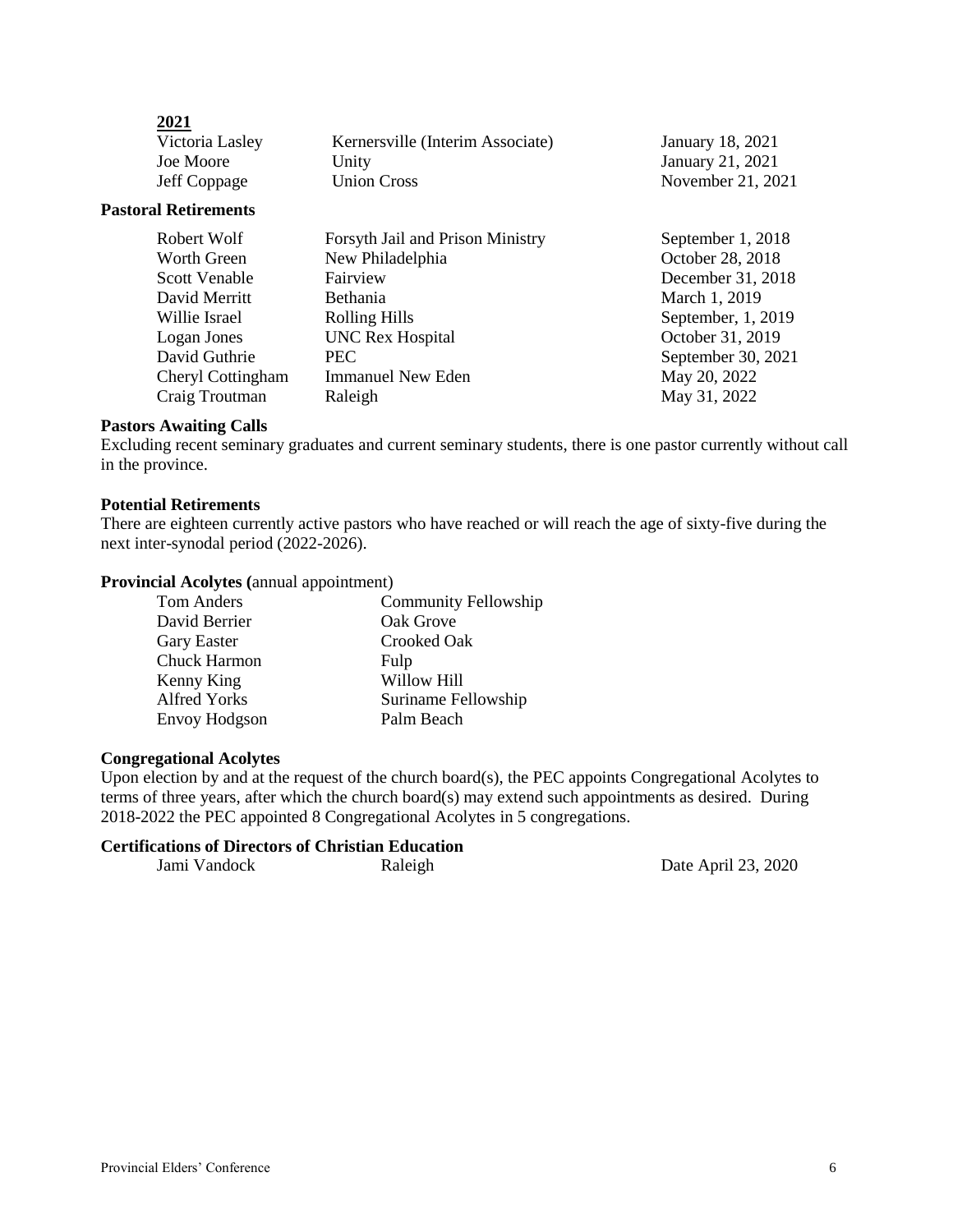| 2021                        |                                  |                    |
|-----------------------------|----------------------------------|--------------------|
| Victoria Lasley             | Kernersville (Interim Associate) | January 18, 2021   |
| Joe Moore                   | Unity                            | January 21, 2021   |
| Jeff Coppage                | <b>Union Cross</b>               | November 21, 2021  |
| <b>Pastoral Retirements</b> |                                  |                    |
| Robert Wolf                 | Forsyth Jail and Prison Ministry | September 1, 2018  |
| Worth Green                 | New Philadelphia                 | October 28, 2018   |
| Scott Venable               | Fairview                         | December 31, 2018  |
| David Merritt               | <b>Bethania</b>                  | March 1, 2019      |
| Willie Israel               | <b>Rolling Hills</b>             | September, 1, 2019 |
| Logan Jones                 | <b>UNC Rex Hospital</b>          | October 31, 2019   |
| David Guthrie               | <b>PEC</b>                       | September 30, 2021 |
| Cheryl Cottingham           | Immanuel New Eden                | May 20, 2022       |
| Craig Troutman              | Raleigh                          | May 31, 2022       |

### **Pastors Awaiting Calls**

**2021**

Excluding recent seminary graduates and current seminary students, there is one pastor currently without call in the province.

### **Potential Retirements**

There are eighteen currently active pastors who have reached or will reach the age of sixty-five during the next inter-synodal period (2022-2026).

### **Provincial Acolytes (**annual appointment)

| Tom Anders          | <b>Community Fellowship</b> |
|---------------------|-----------------------------|
| David Berrier       | Oak Grove                   |
| <b>Gary Easter</b>  | Crooked Oak                 |
| Chuck Harmon        | Fulp                        |
| Kenny King          | Willow Hill                 |
| <b>Alfred Yorks</b> | Suriname Fellowship         |
| Envoy Hodgson       | Palm Beach                  |

### **Congregational Acolytes**

Upon election by and at the request of the church board(s), the PEC appoints Congregational Acolytes to terms of three years, after which the church board(s) may extend such appointments as desired. During 2018-2022 the PEC appointed 8 Congregational Acolytes in 5 congregations.

# **Certifications of Directors of Christian Education**

Raleigh Date April 23, 2020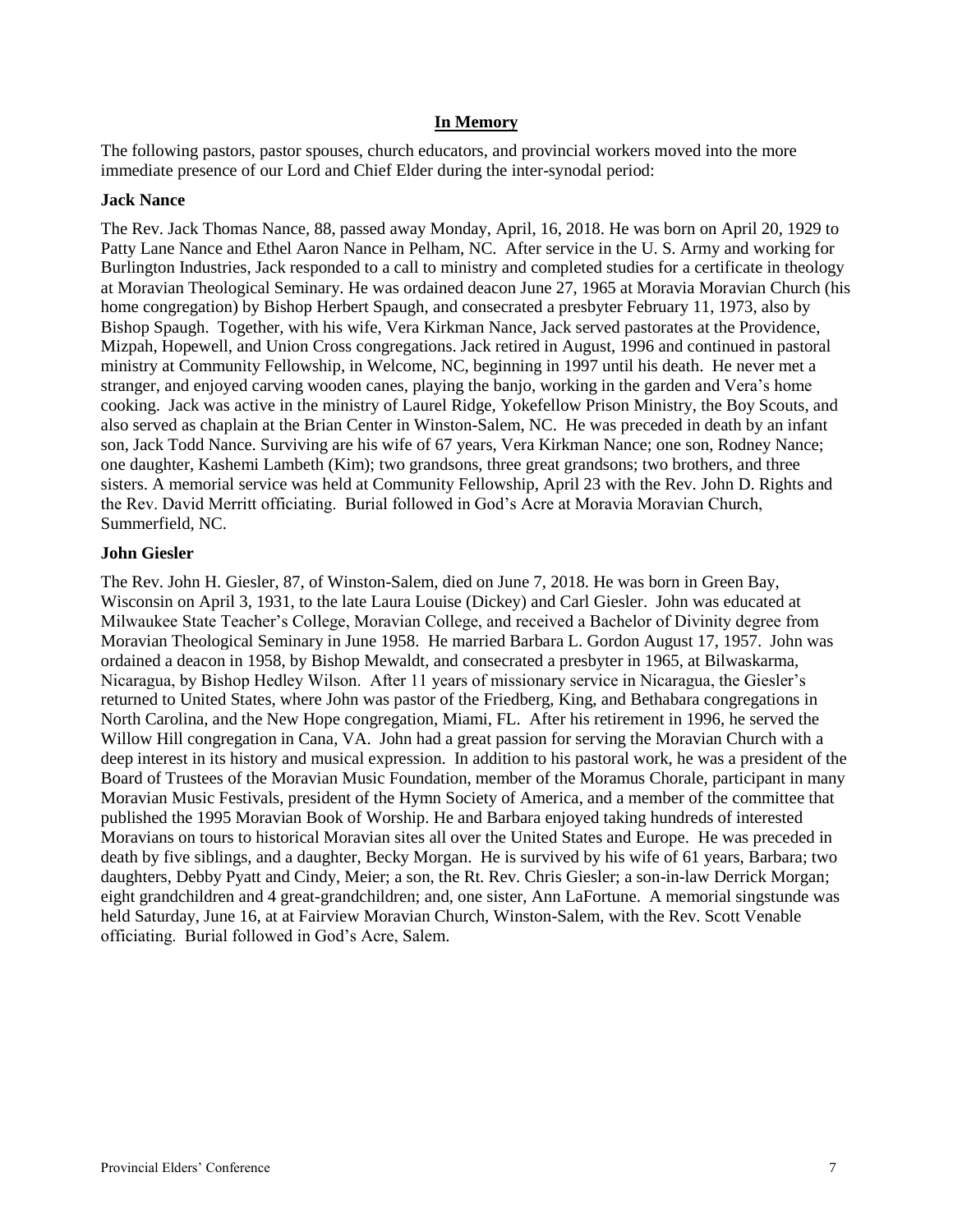### **In Memory**

The following pastors, pastor spouses, church educators, and provincial workers moved into the more immediate presence of our Lord and Chief Elder during the inter-synodal period:

### **Jack Nance**

The Rev. Jack Thomas Nance, 88, passed away Monday, April, 16, 2018. He was born on April 20, 1929 to Patty Lane Nance and Ethel Aaron Nance in Pelham, NC. After service in the U. S. Army and working for Burlington Industries, Jack responded to a call to ministry and completed studies for a certificate in theology at Moravian Theological Seminary. He was ordained deacon June 27, 1965 at Moravia Moravian Church (his home congregation) by Bishop Herbert Spaugh, and consecrated a presbyter February 11, 1973, also by Bishop Spaugh. Together, with his wife, Vera Kirkman Nance, Jack served pastorates at the Providence, Mizpah, Hopewell, and Union Cross congregations. Jack retired in August, 1996 and continued in pastoral ministry at Community Fellowship, in Welcome, NC, beginning in 1997 until his death. He never met a stranger, and enjoyed carving wooden canes, playing the banjo, working in the garden and Vera's home cooking. Jack was active in the ministry of Laurel Ridge, Yokefellow Prison Ministry, the Boy Scouts, and also served as chaplain at the Brian Center in Winston-Salem, NC. He was preceded in death by an infant son, Jack Todd Nance. Surviving are his wife of 67 years, Vera Kirkman Nance; one son, Rodney Nance; one daughter, Kashemi Lambeth (Kim); two grandsons, three great grandsons; two brothers, and three sisters. A memorial service was held at Community Fellowship, April 23 with the Rev. John D. Rights and the Rev. David Merritt officiating. Burial followed in God's Acre at Moravia Moravian Church, Summerfield, NC.

### **John Giesler**

The Rev. John H. Giesler, 87, of Winston-Salem, died on June 7, 2018. He was born in Green Bay, Wisconsin on April 3, 1931, to the late Laura Louise (Dickey) and Carl Giesler. John was educated at Milwaukee State Teacher's College, Moravian College, and received a Bachelor of Divinity degree from Moravian Theological Seminary in June 1958. He married Barbara L. Gordon August 17, 1957. John was ordained a deacon in 1958, by Bishop Mewaldt, and consecrated a presbyter in 1965, at Bilwaskarma, Nicaragua, by Bishop Hedley Wilson. After 11 years of missionary service in Nicaragua, the Giesler's returned to United States, where John was pastor of the Friedberg, King, and Bethabara congregations in North Carolina, and the New Hope congregation, Miami, FL. After his retirement in 1996, he served the Willow Hill congregation in Cana, VA. John had a great passion for serving the Moravian Church with a deep interest in its history and musical expression. In addition to his pastoral work, he was a president of the Board of Trustees of the Moravian Music Foundation, member of the Moramus Chorale, participant in many Moravian Music Festivals, president of the Hymn Society of America, and a member of the committee that published the 1995 Moravian Book of Worship. He and Barbara enjoyed taking hundreds of interested Moravians on tours to historical Moravian sites all over the United States and Europe. He was preceded in death by five siblings, and a daughter, Becky Morgan. He is survived by his wife of 61 years, Barbara; two daughters, Debby Pyatt and Cindy, Meier; a son, the Rt. Rev. Chris Giesler; a son-in-law Derrick Morgan; eight grandchildren and 4 great-grandchildren; and, one sister, Ann LaFortune. A memorial singstunde was held Saturday, June 16, at at Fairview Moravian Church, Winston-Salem, with the Rev. Scott Venable officiating. Burial followed in God's Acre, Salem.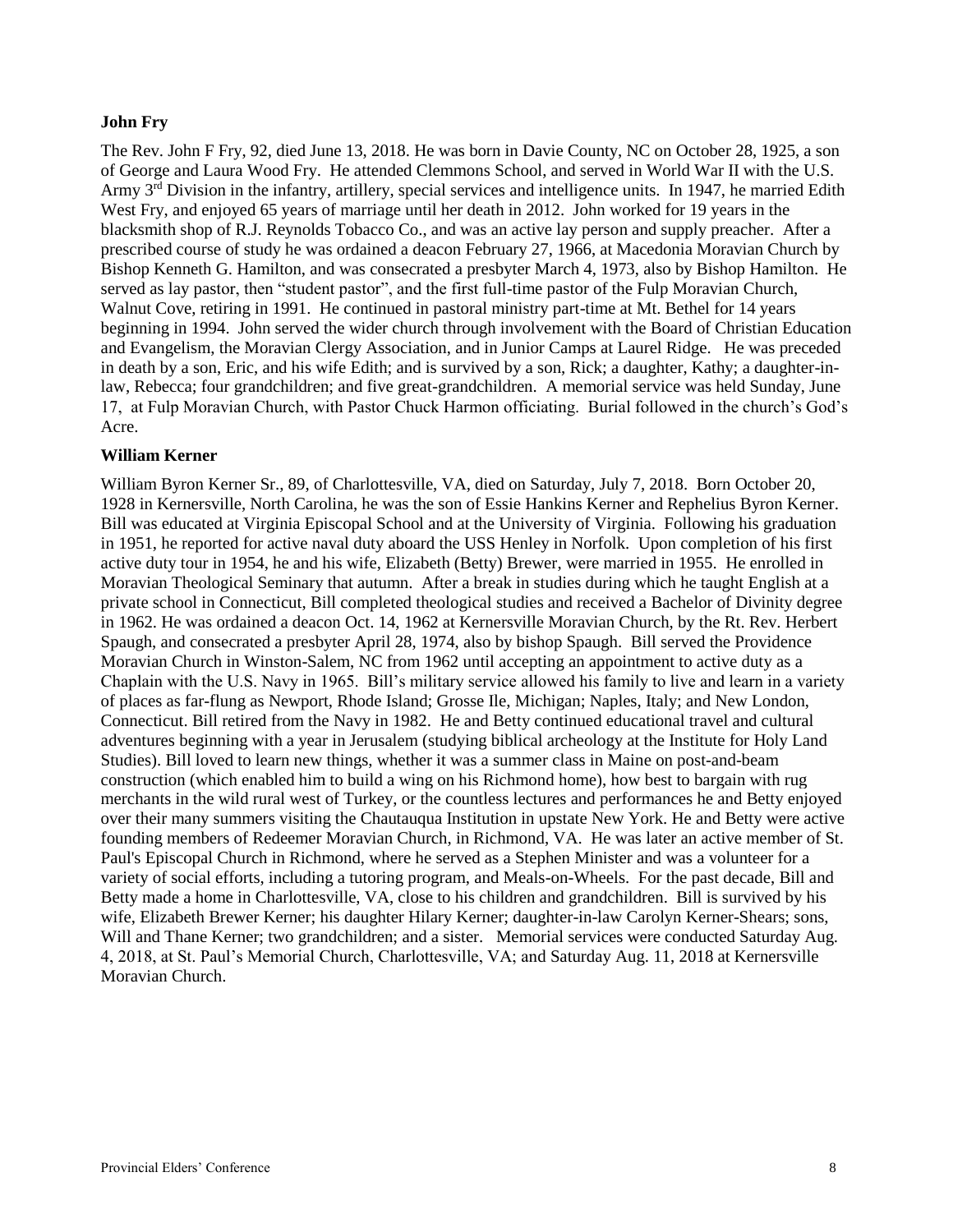### **John Fry**

The Rev. John F Fry, 92, died June 13, 2018. He was born in Davie County, NC on October 28, 1925, a son of George and Laura Wood Fry. He attended Clemmons School, and served in World War II with the U.S. Army  $3<sup>rd</sup>$  Division in the infantry, artillery, special services and intelligence units. In 1947, he married Edith West Fry, and enjoyed 65 years of marriage until her death in 2012. John worked for 19 years in the blacksmith shop of R.J. Reynolds Tobacco Co., and was an active lay person and supply preacher. After a prescribed course of study he was ordained a deacon February 27, 1966, at Macedonia Moravian Church by Bishop Kenneth G. Hamilton, and was consecrated a presbyter March 4, 1973, also by Bishop Hamilton. He served as lay pastor, then "student pastor", and the first full-time pastor of the Fulp Moravian Church, Walnut Cove, retiring in 1991. He continued in pastoral ministry part-time at Mt. Bethel for 14 years beginning in 1994. John served the wider church through involvement with the Board of Christian Education and Evangelism, the Moravian Clergy Association, and in Junior Camps at Laurel Ridge. He was preceded in death by a son, Eric, and his wife Edith; and is survived by a son, Rick; a daughter, Kathy; a daughter-inlaw, Rebecca; four grandchildren; and five great-grandchildren. A memorial service was held Sunday, June 17, at Fulp Moravian Church, with Pastor Chuck Harmon officiating. Burial followed in the church's God's Acre.

### **William Kerner**

William Byron Kerner Sr., 89, of Charlottesville, VA, died on Saturday, July 7, 2018. Born October 20, 1928 in Kernersville, North Carolina, he was the son of Essie Hankins Kerner and Rephelius Byron Kerner. Bill was educated at Virginia Episcopal School and at the University of Virginia. Following his graduation in 1951, he reported for active naval duty aboard the USS Henley in Norfolk. Upon completion of his first active duty tour in 1954, he and his wife, Elizabeth (Betty) Brewer, were married in 1955. He enrolled in Moravian Theological Seminary that autumn. After a break in studies during which he taught English at a private school in Connecticut, Bill completed theological studies and received a Bachelor of Divinity degree in 1962. He was ordained a deacon Oct. 14, 1962 at Kernersville Moravian Church, by the Rt. Rev. Herbert Spaugh, and consecrated a presbyter April 28, 1974, also by bishop Spaugh. Bill served the Providence Moravian Church in Winston-Salem, NC from 1962 until accepting an appointment to active duty as a Chaplain with the U.S. Navy in 1965. Bill's military service allowed his family to live and learn in a variety of places as far-flung as Newport, Rhode Island; Grosse Ile, Michigan; Naples, Italy; and New London, Connecticut. Bill retired from the Navy in 1982. He and Betty continued educational travel and cultural adventures beginning with a year in Jerusalem (studying biblical archeology at the Institute for Holy Land Studies). Bill loved to learn new things, whether it was a summer class in Maine on post-and-beam construction (which enabled him to build a wing on his Richmond home), how best to bargain with rug merchants in the wild rural west of Turkey, or the countless lectures and performances he and Betty enjoyed over their many summers visiting the Chautauqua Institution in upstate New York. He and Betty were active founding members of Redeemer Moravian Church, in Richmond, VA. He was later an active member of St. Paul's Episcopal Church in Richmond, where he served as a Stephen Minister and was a volunteer for a variety of social efforts, including a tutoring program, and Meals-on-Wheels. For the past decade, Bill and Betty made a home in Charlottesville, VA, close to his children and grandchildren. Bill is survived by his wife, Elizabeth Brewer Kerner; his daughter Hilary Kerner; daughter-in-law Carolyn Kerner-Shears; sons, Will and Thane Kerner; two grandchildren; and a sister. Memorial services were conducted Saturday Aug. 4, 2018, at St. Paul's Memorial Church, Charlottesville, VA; and Saturday Aug. 11, 2018 at Kernersville Moravian Church.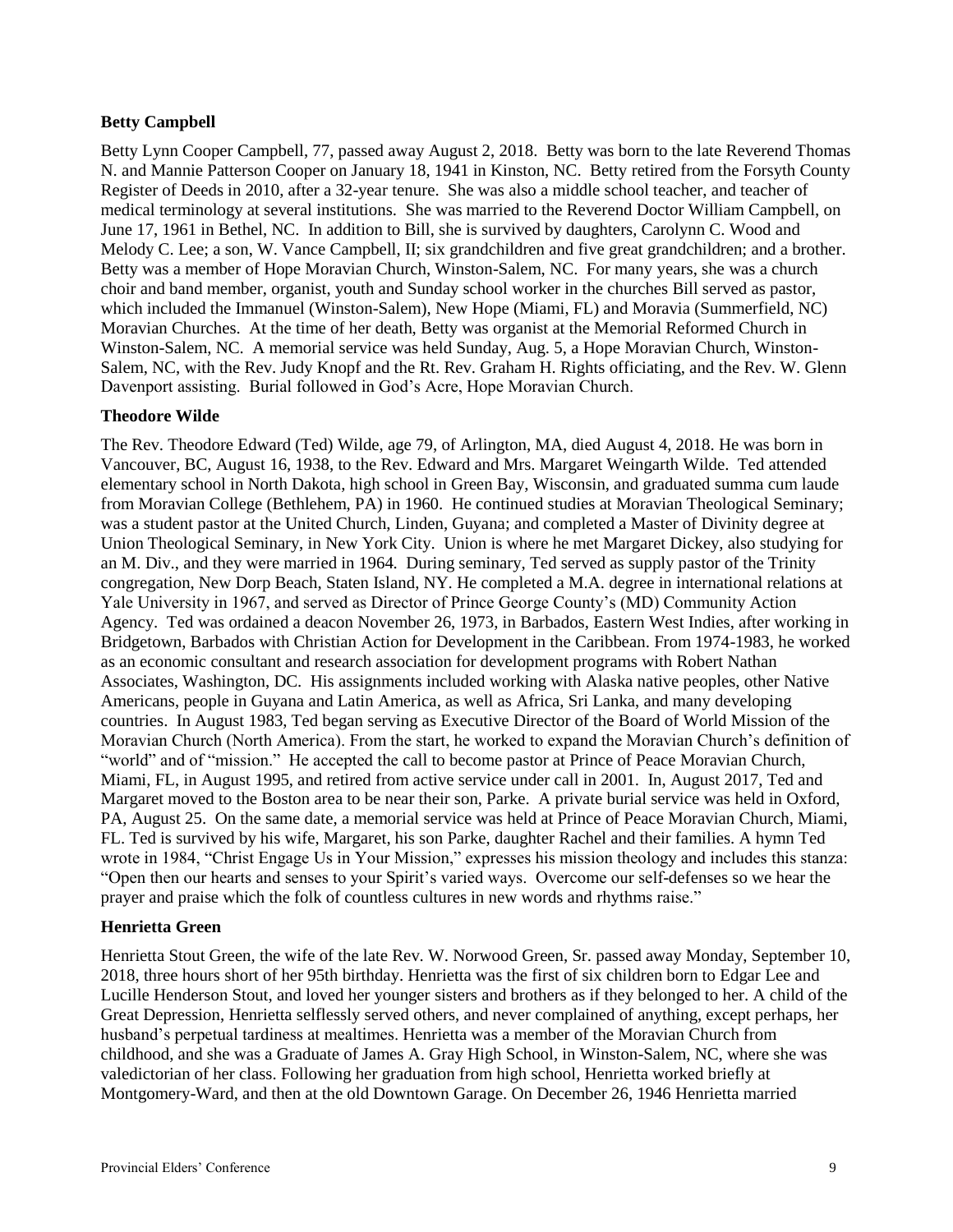# **Betty Campbell**

Betty Lynn Cooper Campbell, 77, passed away August 2, 2018. Betty was born to the late Reverend Thomas N. and Mannie Patterson Cooper on January 18, 1941 in Kinston, NC. Betty retired from the Forsyth County Register of Deeds in 2010, after a 32-year tenure. She was also a middle school teacher, and teacher of medical terminology at several institutions. She was married to the Reverend Doctor William Campbell, on June 17, 1961 in Bethel, NC. In addition to Bill, she is survived by daughters, Carolynn C. Wood and Melody C. Lee; a son, W. Vance Campbell, II; six grandchildren and five great grandchildren; and a brother. Betty was a member of Hope Moravian Church, Winston-Salem, NC. For many years, she was a church choir and band member, organist, youth and Sunday school worker in the churches Bill served as pastor, which included the Immanuel (Winston-Salem), New Hope (Miami, FL) and Moravia (Summerfield, NC) Moravian Churches. At the time of her death, Betty was organist at the Memorial Reformed Church in Winston-Salem, NC. A memorial service was held Sunday, Aug. 5, a Hope Moravian Church, Winston-Salem, NC, with the Rev. Judy Knopf and the Rt. Rev. Graham H. Rights officiating, and the Rev. W. Glenn Davenport assisting. Burial followed in God's Acre, Hope Moravian Church.

# **Theodore Wilde**

The Rev. Theodore Edward (Ted) Wilde, age 79, of Arlington, MA, died August 4, 2018. He was born in Vancouver, BC, August 16, 1938, to the Rev. Edward and Mrs. Margaret Weingarth Wilde. Ted attended elementary school in North Dakota, high school in Green Bay, Wisconsin, and graduated summa cum laude from Moravian College (Bethlehem, PA) in 1960. He continued studies at Moravian Theological Seminary; was a student pastor at the United Church, Linden, Guyana; and completed a Master of Divinity degree at Union Theological Seminary, in New York City. Union is where he met Margaret Dickey, also studying for an M. Div., and they were married in 1964. During seminary, Ted served as supply pastor of the Trinity congregation, New Dorp Beach, Staten Island, NY. He completed a M.A. degree in international relations at Yale University in 1967, and served as Director of Prince George County's (MD) Community Action Agency. Ted was ordained a deacon November 26, 1973, in Barbados, Eastern West Indies, after working in Bridgetown, Barbados with Christian Action for Development in the Caribbean. From 1974-1983, he worked as an economic consultant and research association for development programs with Robert Nathan Associates, Washington, DC. His assignments included working with Alaska native peoples, other Native Americans, people in Guyana and Latin America, as well as Africa, Sri Lanka, and many developing countries. In August 1983, Ted began serving as Executive Director of the Board of World Mission of the Moravian Church (North America). From the start, he worked to expand the Moravian Church's definition of "world" and of "mission." He accepted the call to become pastor at Prince of Peace Moravian Church, Miami, FL, in August 1995, and retired from active service under call in 2001. In, August 2017, Ted and Margaret moved to the Boston area to be near their son, Parke. A private burial service was held in Oxford, PA, August 25. On the same date, a memorial service was held at Prince of Peace Moravian Church, Miami, FL. Ted is survived by his wife, Margaret, his son Parke, daughter Rachel and their families. A hymn Ted wrote in 1984, "Christ Engage Us in Your Mission," expresses his mission theology and includes this stanza: "Open then our hearts and senses to your Spirit's varied ways. Overcome our self-defenses so we hear the prayer and praise which the folk of countless cultures in new words and rhythms raise."

# **Henrietta Green**

Henrietta Stout Green, the wife of the late Rev. W. Norwood Green, Sr. passed away Monday, September 10, 2018, three hours short of her 95th birthday. Henrietta was the first of six children born to Edgar Lee and Lucille Henderson Stout, and loved her younger sisters and brothers as if they belonged to her. A child of the Great Depression, Henrietta selflessly served others, and never complained of anything, except perhaps, her husband's perpetual tardiness at mealtimes. Henrietta was a member of the Moravian Church from childhood, and she was a Graduate of James A. Gray High School, in Winston-Salem, NC, where she was valedictorian of her class. Following her graduation from high school, Henrietta worked briefly at Montgomery-Ward, and then at the old Downtown Garage. On December 26, 1946 Henrietta married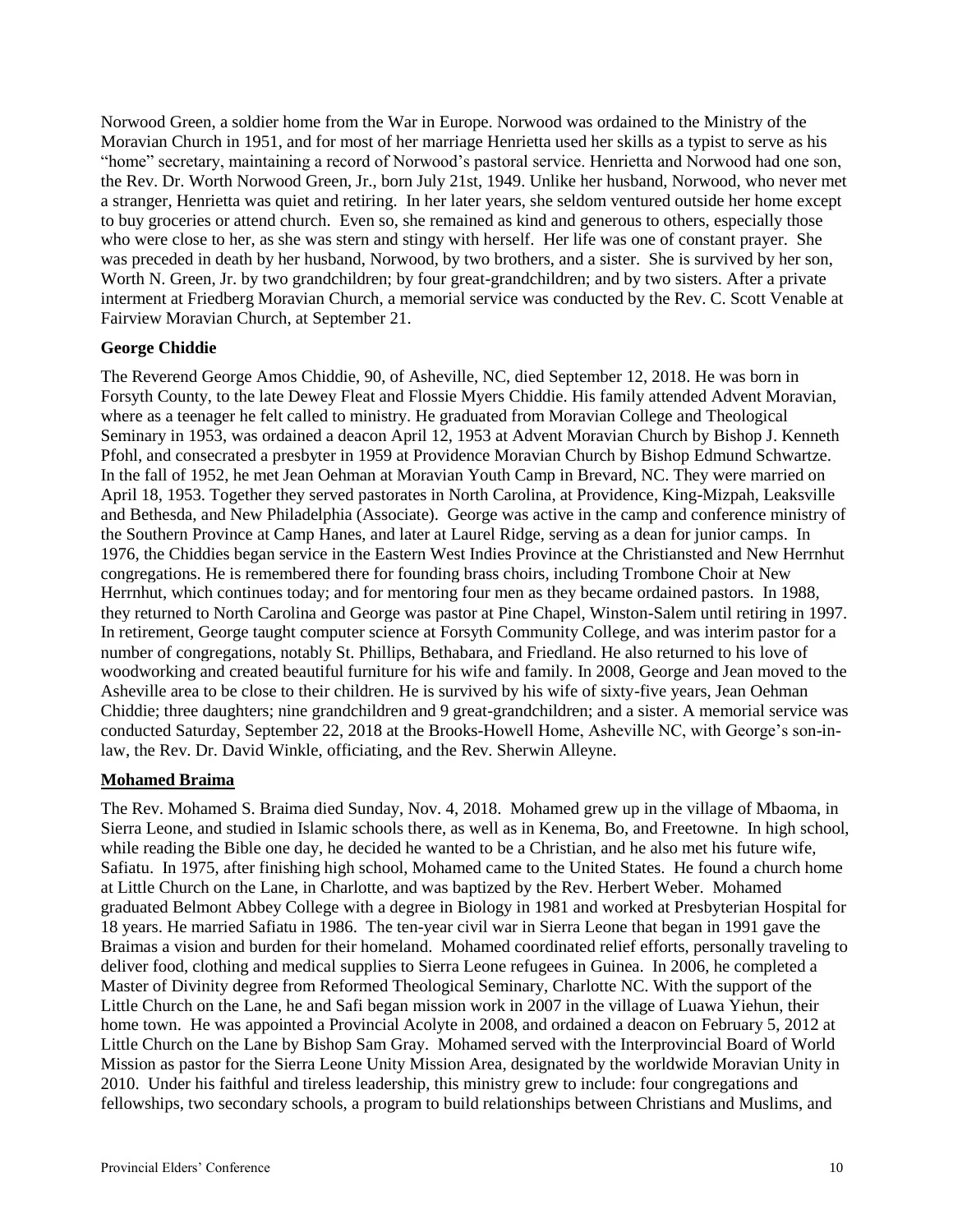Norwood Green, a soldier home from the War in Europe. Norwood was ordained to the Ministry of the Moravian Church in 1951, and for most of her marriage Henrietta used her skills as a typist to serve as his "home" secretary, maintaining a record of Norwood's pastoral service. Henrietta and Norwood had one son, the Rev. Dr. Worth Norwood Green, Jr., born July 21st, 1949. Unlike her husband, Norwood, who never met a stranger, Henrietta was quiet and retiring. In her later years, she seldom ventured outside her home except to buy groceries or attend church. Even so, she remained as kind and generous to others, especially those who were close to her, as she was stern and stingy with herself. Her life was one of constant prayer. She was preceded in death by her husband, Norwood, by two brothers, and a sister. She is survived by her son, Worth N. Green, Jr. by two grandchildren; by four great-grandchildren; and by two sisters. After a private interment at Friedberg Moravian Church, a memorial service was conducted by the Rev. C. Scott Venable at Fairview Moravian Church, at September 21.

# **George Chiddie**

The Reverend George Amos Chiddie, 90, of Asheville, NC, died September 12, 2018. He was born in Forsyth County, to the late Dewey Fleat and Flossie Myers Chiddie. His family attended Advent Moravian, where as a teenager he felt called to ministry. He graduated from Moravian College and Theological Seminary in 1953, was ordained a deacon April 12, 1953 at Advent Moravian Church by Bishop J. Kenneth Pfohl, and consecrated a presbyter in 1959 at Providence Moravian Church by Bishop Edmund Schwartze. In the fall of 1952, he met Jean Oehman at Moravian Youth Camp in Brevard, NC. They were married on April 18, 1953. Together they served pastorates in North Carolina, at Providence, King-Mizpah, Leaksville and Bethesda, and New Philadelphia (Associate). George was active in the camp and conference ministry of the Southern Province at Camp Hanes, and later at Laurel Ridge, serving as a dean for junior camps. In 1976, the Chiddies began service in the Eastern West Indies Province at the Christiansted and New Herrnhut congregations. He is remembered there for founding brass choirs, including Trombone Choir at New Herrnhut, which continues today; and for mentoring four men as they became ordained pastors. In 1988, they returned to North Carolina and George was pastor at Pine Chapel, Winston-Salem until retiring in 1997. In retirement, George taught computer science at Forsyth Community College, and was interim pastor for a number of congregations, notably St. Phillips, Bethabara, and Friedland. He also returned to his love of woodworking and created beautiful furniture for his wife and family. In 2008, George and Jean moved to the Asheville area to be close to their children. He is survived by his wife of sixty-five years, Jean Oehman Chiddie; three daughters; nine grandchildren and 9 great-grandchildren; and a sister. A memorial service was conducted Saturday, September 22, 2018 at the Brooks-Howell Home, Asheville NC, with George's son-inlaw, the Rev. Dr. David Winkle, officiating, and the Rev. Sherwin Alleyne.

### **Mohamed Braima**

The Rev. Mohamed S. Braima died Sunday, Nov. 4, 2018. Mohamed grew up in the village of Mbaoma, in Sierra Leone, and studied in Islamic schools there, as well as in Kenema, Bo, and Freetowne. In high school, while reading the Bible one day, he decided he wanted to be a Christian, and he also met his future wife, Safiatu. In 1975, after finishing high school, Mohamed came to the United States. He found a church home at Little Church on the Lane, in Charlotte, and was baptized by the Rev. Herbert Weber. Mohamed graduated Belmont Abbey College with a degree in Biology in 1981 and worked at Presbyterian Hospital for 18 years. He married Safiatu in 1986. The ten-year civil war in Sierra Leone that began in 1991 gave the Braimas a vision and burden for their homeland. Mohamed coordinated relief efforts, personally traveling to deliver food, clothing and medical supplies to Sierra Leone refugees in Guinea. In 2006, he completed a Master of Divinity degree from Reformed Theological Seminary, Charlotte NC. With the support of the Little Church on the Lane, he and Safi began mission work in 2007 in the village of Luawa Yiehun, their home town. He was appointed a Provincial Acolyte in 2008, and ordained a deacon on February 5, 2012 at Little Church on the Lane by Bishop Sam Gray. Mohamed served with the Interprovincial Board of World Mission as pastor for the Sierra Leone Unity Mission Area, designated by the worldwide Moravian Unity in 2010. Under his faithful and tireless leadership, this ministry grew to include: four congregations and fellowships, two secondary schools, a program to build relationships between Christians and Muslims, and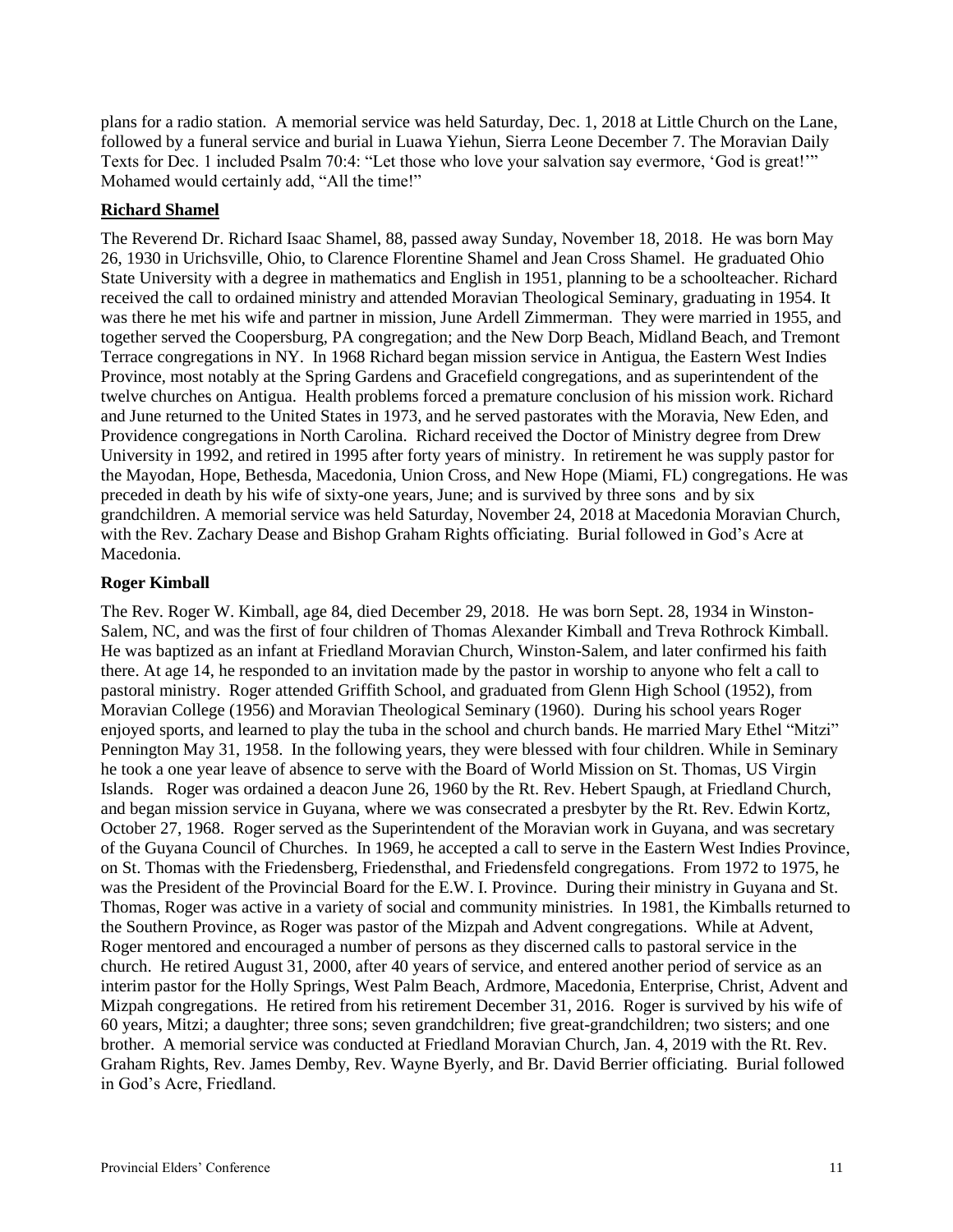plans for a radio station. A memorial service was held Saturday, Dec. 1, 2018 at Little Church on the Lane, followed by a funeral service and burial in Luawa Yiehun, Sierra Leone December 7. The Moravian Daily Texts for Dec. 1 included Psalm 70:4: "Let those who love your salvation say evermore, 'God is great!'" Mohamed would certainly add, "All the time!"

# **Richard Shamel**

The Reverend Dr. Richard Isaac Shamel, 88, passed away Sunday, November 18, 2018. He was born May 26, 1930 in Urichsville, Ohio, to Clarence Florentine Shamel and Jean Cross Shamel. He graduated Ohio State University with a degree in mathematics and English in 1951, planning to be a schoolteacher. Richard received the call to ordained ministry and attended Moravian Theological Seminary, graduating in 1954. It was there he met his wife and partner in mission, June Ardell Zimmerman. They were married in 1955, and together served the Coopersburg, PA congregation; and the New Dorp Beach, Midland Beach, and Tremont Terrace congregations in NY. In 1968 Richard began mission service in Antigua, the Eastern West Indies Province, most notably at the Spring Gardens and Gracefield congregations, and as superintendent of the twelve churches on Antigua. Health problems forced a premature conclusion of his mission work. Richard and June returned to the United States in 1973, and he served pastorates with the Moravia, New Eden, and Providence congregations in North Carolina. Richard received the Doctor of Ministry degree from Drew University in 1992, and retired in 1995 after forty years of ministry. In retirement he was supply pastor for the Mayodan, Hope, Bethesda, Macedonia, Union Cross, and New Hope (Miami, FL) congregations. He was preceded in death by his wife of sixty-one years, June; and is survived by three sons and by six grandchildren. A memorial service was held Saturday, November 24, 2018 at Macedonia Moravian Church, with the Rev. Zachary Dease and Bishop Graham Rights officiating. Burial followed in God's Acre at Macedonia.

### **Roger Kimball**

The Rev. Roger W. Kimball, age 84, died December 29, 2018. He was born Sept. 28, 1934 in Winston-Salem, NC, and was the first of four children of Thomas Alexander Kimball and Treva Rothrock Kimball. He was baptized as an infant at Friedland Moravian Church, Winston-Salem, and later confirmed his faith there. At age 14, he responded to an invitation made by the pastor in worship to anyone who felt a call to pastoral ministry. Roger attended Griffith School, and graduated from Glenn High School (1952), from Moravian College (1956) and Moravian Theological Seminary (1960). During his school years Roger enjoyed sports, and learned to play the tuba in the school and church bands. He married Mary Ethel "Mitzi" Pennington May 31, 1958. In the following years, they were blessed with four children. While in Seminary he took a one year leave of absence to serve with the Board of World Mission on St. Thomas, US Virgin Islands. Roger was ordained a deacon June 26, 1960 by the Rt. Rev. Hebert Spaugh, at Friedland Church, and began mission service in Guyana, where we was consecrated a presbyter by the Rt. Rev. Edwin Kortz, October 27, 1968. Roger served as the Superintendent of the Moravian work in Guyana, and was secretary of the Guyana Council of Churches. In 1969, he accepted a call to serve in the Eastern West Indies Province, on St. Thomas with the Friedensberg, Friedensthal, and Friedensfeld congregations. From 1972 to 1975, he was the President of the Provincial Board for the E.W. I. Province. During their ministry in Guyana and St. Thomas, Roger was active in a variety of social and community ministries. In 1981, the Kimballs returned to the Southern Province, as Roger was pastor of the Mizpah and Advent congregations. While at Advent, Roger mentored and encouraged a number of persons as they discerned calls to pastoral service in the church. He retired August 31, 2000, after 40 years of service, and entered another period of service as an interim pastor for the Holly Springs, West Palm Beach, Ardmore, Macedonia, Enterprise, Christ, Advent and Mizpah congregations. He retired from his retirement December 31, 2016. Roger is survived by his wife of 60 years, Mitzi; a daughter; three sons; seven grandchildren; five great-grandchildren; two sisters; and one brother. A memorial service was conducted at Friedland Moravian Church, Jan. 4, 2019 with the Rt. Rev. Graham Rights, Rev. James Demby, Rev. Wayne Byerly, and Br. David Berrier officiating. Burial followed in God's Acre, Friedland.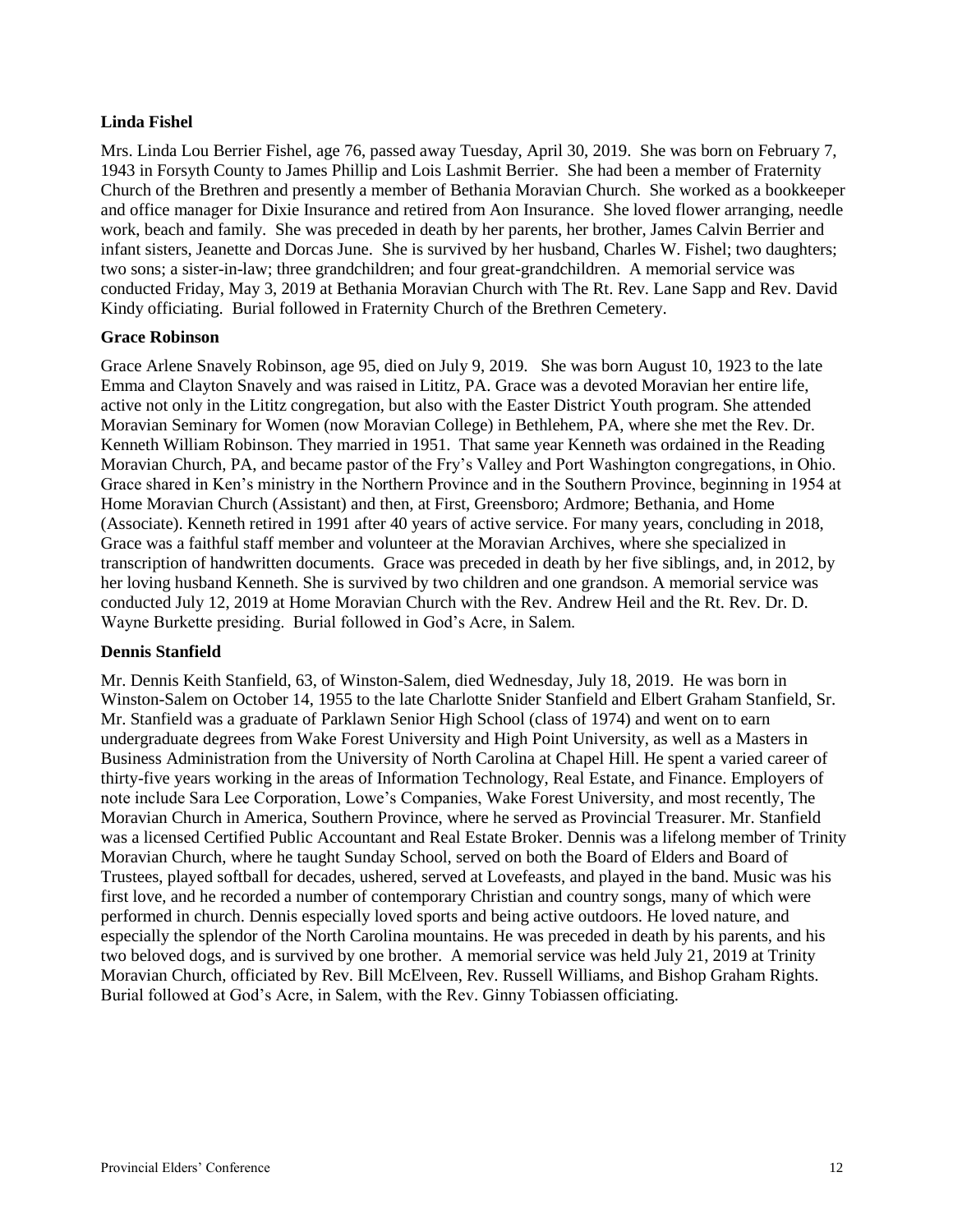# **Linda Fishel**

Mrs. Linda Lou Berrier Fishel, age 76, passed away Tuesday, April 30, 2019. She was born on February 7, 1943 in Forsyth County to James Phillip and Lois Lashmit Berrier. She had been a member of Fraternity Church of the Brethren and presently a member of Bethania Moravian Church. She worked as a bookkeeper and office manager for Dixie Insurance and retired from Aon Insurance. She loved flower arranging, needle work, beach and family. She was preceded in death by her parents, her brother, James Calvin Berrier and infant sisters, Jeanette and Dorcas June. She is survived by her husband, Charles W. Fishel; two daughters; two sons; a sister-in-law; three grandchildren; and four great-grandchildren. A memorial service was conducted Friday, May 3, 2019 at Bethania Moravian Church with The Rt. Rev. Lane Sapp and Rev. David Kindy officiating. Burial followed in Fraternity Church of the Brethren Cemetery.

### **Grace Robinson**

Grace Arlene Snavely Robinson, age 95, died on July 9, 2019. She was born August 10, 1923 to the late Emma and Clayton Snavely and was raised in Lititz, PA. Grace was a devoted Moravian her entire life, active not only in the Lititz congregation, but also with the Easter District Youth program. She attended Moravian Seminary for Women (now Moravian College) in Bethlehem, PA, where she met the Rev. Dr. Kenneth William Robinson. They married in 1951. That same year Kenneth was ordained in the Reading Moravian Church, PA, and became pastor of the Fry's Valley and Port Washington congregations, in Ohio. Grace shared in Ken's ministry in the Northern Province and in the Southern Province, beginning in 1954 at Home Moravian Church (Assistant) and then, at First, Greensboro; Ardmore; Bethania, and Home (Associate). Kenneth retired in 1991 after 40 years of active service. For many years, concluding in 2018, Grace was a faithful staff member and volunteer at the Moravian Archives, where she specialized in transcription of handwritten documents. Grace was preceded in death by her five siblings, and, in 2012, by her loving husband Kenneth. She is survived by two children and one grandson. A memorial service was conducted July 12, 2019 at Home Moravian Church with the Rev. Andrew Heil and the Rt. Rev. Dr. D. Wayne Burkette presiding. Burial followed in God's Acre, in Salem.

### **Dennis Stanfield**

Mr. Dennis Keith Stanfield, 63, of Winston-Salem, died Wednesday, July 18, 2019. He was born in Winston-Salem on October 14, 1955 to the late Charlotte Snider Stanfield and Elbert Graham Stanfield, Sr. Mr. Stanfield was a graduate of Parklawn Senior High School (class of 1974) and went on to earn undergraduate degrees from Wake Forest University and High Point University, as well as a Masters in Business Administration from the University of North Carolina at Chapel Hill. He spent a varied career of thirty-five years working in the areas of Information Technology, Real Estate, and Finance. Employers of note include Sara Lee Corporation, Lowe's Companies, Wake Forest University, and most recently, The Moravian Church in America, Southern Province, where he served as Provincial Treasurer. Mr. Stanfield was a licensed Certified Public Accountant and Real Estate Broker. Dennis was a lifelong member of Trinity Moravian Church, where he taught Sunday School, served on both the Board of Elders and Board of Trustees, played softball for decades, ushered, served at Lovefeasts, and played in the band. Music was his first love, and he recorded a number of contemporary Christian and country songs, many of which were performed in church. Dennis especially loved sports and being active outdoors. He loved nature, and especially the splendor of the North Carolina mountains. He was preceded in death by his parents, and his two beloved dogs, and is survived by one brother. A memorial service was held July 21, 2019 at Trinity Moravian Church, officiated by Rev. Bill McElveen, Rev. Russell Williams, and Bishop Graham Rights. Burial followed at God's Acre, in Salem, with the Rev. Ginny Tobiassen officiating.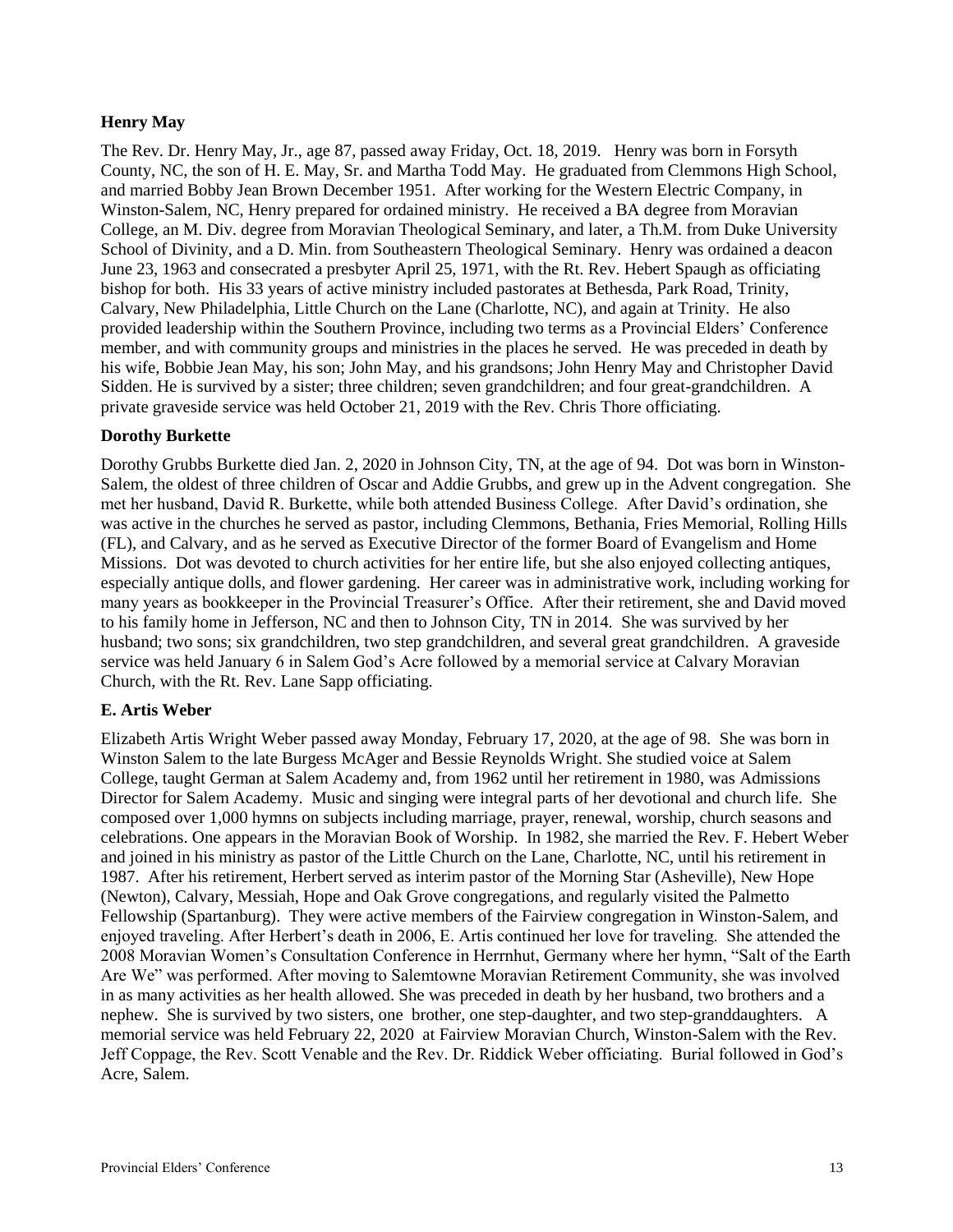# **Henry May**

The Rev. Dr. Henry May, Jr., age 87, passed away Friday, Oct. 18, 2019. Henry was born in Forsyth County, NC, the son of H. E. May, Sr. and Martha Todd May. He graduated from Clemmons High School, and married Bobby Jean Brown December 1951. After working for the Western Electric Company, in Winston-Salem, NC, Henry prepared for ordained ministry. He received a BA degree from Moravian College, an M. Div. degree from Moravian Theological Seminary, and later, a Th.M. from Duke University School of Divinity, and a D. Min. from Southeastern Theological Seminary. Henry was ordained a deacon June 23, 1963 and consecrated a presbyter April 25, 1971, with the Rt. Rev. Hebert Spaugh as officiating bishop for both. His 33 years of active ministry included pastorates at Bethesda, Park Road, Trinity, Calvary, New Philadelphia, Little Church on the Lane (Charlotte, NC), and again at Trinity. He also provided leadership within the Southern Province, including two terms as a Provincial Elders' Conference member, and with community groups and ministries in the places he served. He was preceded in death by his wife, Bobbie Jean May, his son; John May, and his grandsons; John Henry May and Christopher David Sidden. He is survived by a sister; three children; seven grandchildren; and four great-grandchildren. A private graveside service was held October 21, 2019 with the Rev. Chris Thore officiating.

# **Dorothy Burkette**

Dorothy Grubbs Burkette died Jan. 2, 2020 in Johnson City, TN, at the age of 94. Dot was born in Winston-Salem, the oldest of three children of Oscar and Addie Grubbs, and grew up in the Advent congregation. She met her husband, David R. Burkette, while both attended Business College. After David's ordination, she was active in the churches he served as pastor, including Clemmons, Bethania, Fries Memorial, Rolling Hills (FL), and Calvary, and as he served as Executive Director of the former Board of Evangelism and Home Missions. Dot was devoted to church activities for her entire life, but she also enjoyed collecting antiques, especially antique dolls, and flower gardening. Her career was in administrative work, including working for many years as bookkeeper in the Provincial Treasurer's Office. After their retirement, she and David moved to his family home in Jefferson, NC and then to Johnson City, TN in 2014. She was survived by her husband; two sons; six grandchildren, two step grandchildren, and several great grandchildren. A graveside service was held January 6 in Salem God's Acre followed by a memorial service at Calvary Moravian Church, with the Rt. Rev. Lane Sapp officiating.

# **E. Artis Weber**

Elizabeth Artis Wright Weber passed away Monday, February 17, 2020, at the age of 98. She was born in Winston Salem to the late Burgess McAger and Bessie Reynolds Wright. She studied voice at Salem College, taught German at Salem Academy and, from 1962 until her retirement in 1980, was Admissions Director for Salem Academy. Music and singing were integral parts of her devotional and church life. She composed over 1,000 hymns on subjects including marriage, prayer, renewal, worship, church seasons and celebrations. One appears in the Moravian Book of Worship. In 1982, she married the Rev. F. Hebert Weber and joined in his ministry as pastor of the Little Church on the Lane, Charlotte, NC, until his retirement in 1987. After his retirement, Herbert served as interim pastor of the Morning Star (Asheville), New Hope (Newton), Calvary, Messiah, Hope and Oak Grove congregations, and regularly visited the Palmetto Fellowship (Spartanburg). They were active members of the Fairview congregation in Winston-Salem, and enjoyed traveling. After Herbert's death in 2006, E. Artis continued her love for traveling. She attended the 2008 Moravian Women's Consultation Conference in Herrnhut, Germany where her hymn, "Salt of the Earth Are We" was performed. After moving to Salemtowne Moravian Retirement Community, she was involved in as many activities as her health allowed. She was preceded in death by her husband, two brothers and a nephew. She is survived by two sisters, one brother, one step-daughter, and two step-granddaughters. A memorial service was held February 22, 2020 at Fairview Moravian Church, Winston-Salem with the Rev. Jeff Coppage, the Rev. Scott Venable and the Rev. Dr. Riddick Weber officiating. Burial followed in God's Acre, Salem.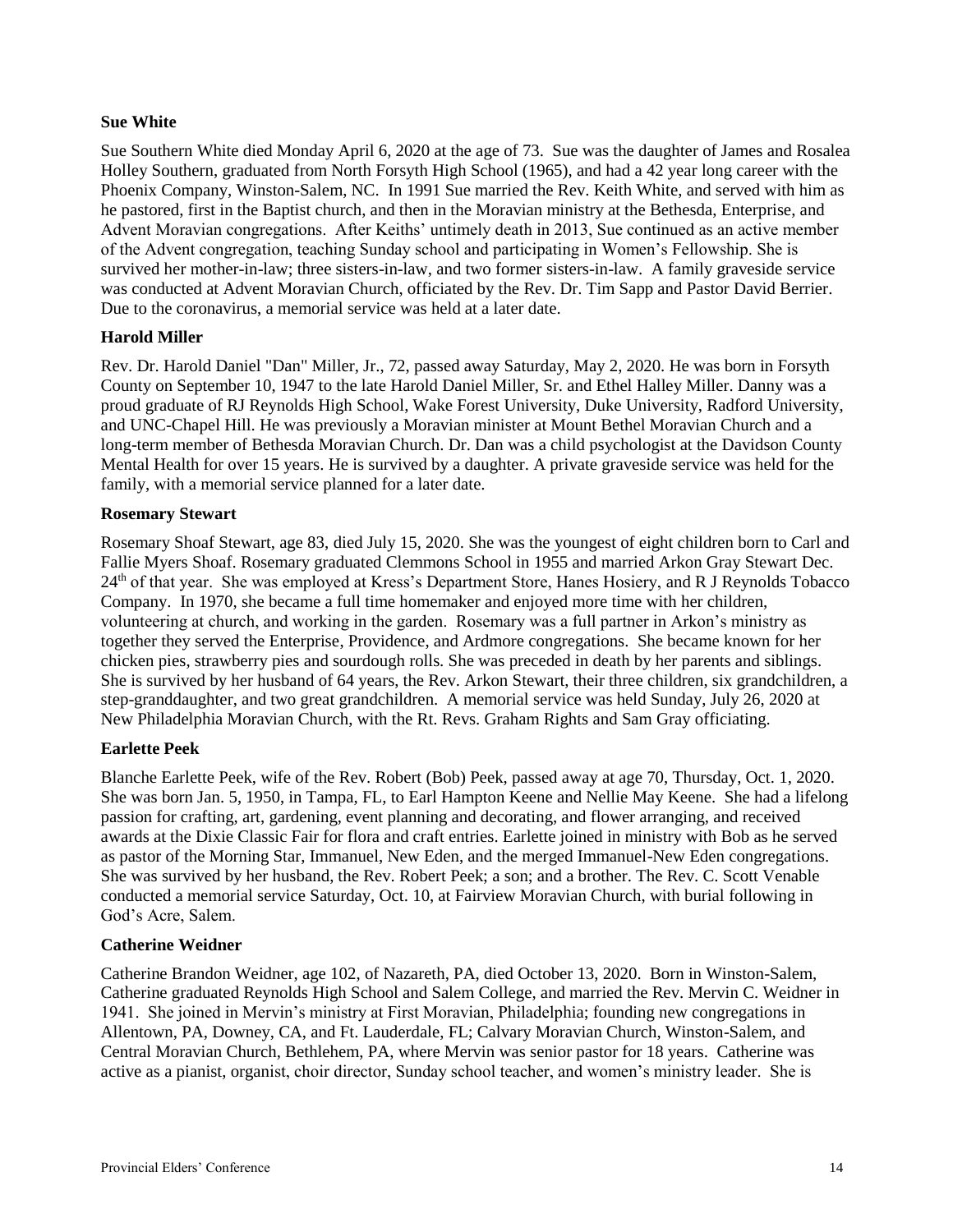# **Sue White**

Sue Southern White died Monday April 6, 2020 at the age of 73. Sue was the daughter of James and Rosalea Holley Southern, graduated from North Forsyth High School (1965), and had a 42 year long career with the Phoenix Company, Winston-Salem, NC. In 1991 Sue married the Rev. Keith White, and served with him as he pastored, first in the Baptist church, and then in the Moravian ministry at the Bethesda, Enterprise, and Advent Moravian congregations. After Keiths' untimely death in 2013, Sue continued as an active member of the Advent congregation, teaching Sunday school and participating in Women's Fellowship. She is survived her mother-in-law; three sisters-in-law, and two former sisters-in-law. A family graveside service was conducted at Advent Moravian Church, officiated by the Rev. Dr. Tim Sapp and Pastor David Berrier. Due to the coronavirus, a memorial service was held at a later date.

# **Harold Miller**

Rev. Dr. Harold Daniel "Dan" Miller, Jr., 72, passed away Saturday, May 2, 2020. He was born in Forsyth County on September 10, 1947 to the late Harold Daniel Miller, Sr. and Ethel Halley Miller. Danny was a proud graduate of RJ Reynolds High School, Wake Forest University, Duke University, Radford University, and UNC-Chapel Hill. He was previously a Moravian minister at Mount Bethel Moravian Church and a long-term member of Bethesda Moravian Church. Dr. Dan was a child psychologist at the Davidson County Mental Health for over 15 years. He is survived by a daughter. A private graveside service was held for the family, with a memorial service planned for a later date.

# **Rosemary Stewart**

Rosemary Shoaf Stewart, age 83, died July 15, 2020. She was the youngest of eight children born to Carl and Fallie Myers Shoaf. Rosemary graduated Clemmons School in 1955 and married Arkon Gray Stewart Dec. 24<sup>th</sup> of that year. She was employed at Kress's Department Store, Hanes Hosiery, and R J Reynolds Tobacco Company. In 1970, she became a full time homemaker and enjoyed more time with her children, volunteering at church, and working in the garden. Rosemary was a full partner in Arkon's ministry as together they served the Enterprise, Providence, and Ardmore congregations. She became known for her chicken pies, strawberry pies and sourdough rolls. She was preceded in death by her parents and siblings. She is survived by her husband of 64 years, the Rev. Arkon Stewart, their three children, six grandchildren, a step-granddaughter, and two great grandchildren. A memorial service was held Sunday, July 26, 2020 at New Philadelphia Moravian Church, with the Rt. Revs. Graham Rights and Sam Gray officiating.

# **Earlette Peek**

Blanche Earlette Peek, wife of the Rev. Robert (Bob) Peek, passed away at age 70, Thursday, Oct. 1, 2020. She was born Jan. 5, 1950, in Tampa, FL, to Earl Hampton Keene and Nellie May Keene. She had a lifelong passion for crafting, art, gardening, event planning and decorating, and flower arranging, and received awards at the Dixie Classic Fair for flora and craft entries. Earlette joined in ministry with Bob as he served as pastor of the Morning Star, Immanuel, New Eden, and the merged Immanuel-New Eden congregations. She was survived by her husband, the Rev. Robert Peek; a son; and a brother. The Rev. C. Scott Venable conducted a memorial service Saturday, Oct. 10, at Fairview Moravian Church, with burial following in God's Acre, Salem.

# **Catherine Weidner**

Catherine Brandon Weidner, age 102, of Nazareth, PA, died October 13, 2020. Born in Winston-Salem, Catherine graduated Reynolds High School and Salem College, and married the Rev. Mervin C. Weidner in 1941. She joined in Mervin's ministry at First Moravian, Philadelphia; founding new congregations in Allentown, PA, Downey, CA, and Ft. Lauderdale, FL; Calvary Moravian Church, Winston-Salem, and Central Moravian Church, Bethlehem, PA, where Mervin was senior pastor for 18 years. Catherine was active as a pianist, organist, choir director, Sunday school teacher, and women's ministry leader. She is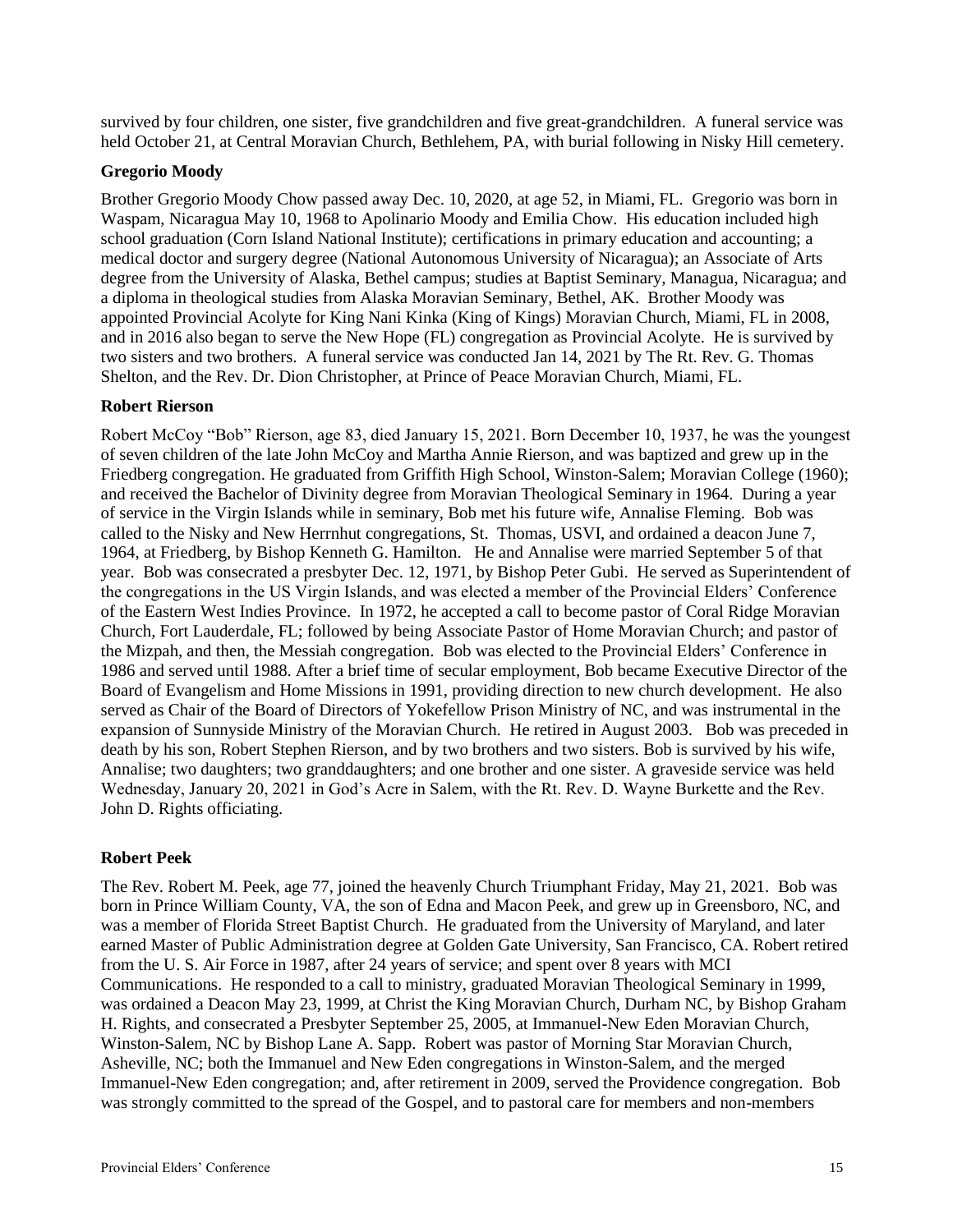survived by four children, one sister, five grandchildren and five great-grandchildren. A funeral service was held October 21, at Central Moravian Church, Bethlehem, PA, with burial following in Nisky Hill cemetery.

# **Gregorio Moody**

Brother Gregorio Moody Chow passed away Dec. 10, 2020, at age 52, in Miami, FL. Gregorio was born in Waspam, Nicaragua May 10, 1968 to Apolinario Moody and Emilia Chow. His education included high school graduation (Corn Island National Institute); certifications in primary education and accounting; a medical doctor and surgery degree (National Autonomous University of Nicaragua); an Associate of Arts degree from the University of Alaska, Bethel campus; studies at Baptist Seminary, Managua, Nicaragua; and a diploma in theological studies from Alaska Moravian Seminary, Bethel, AK. Brother Moody was appointed Provincial Acolyte for King Nani Kinka (King of Kings) Moravian Church, Miami, FL in 2008, and in 2016 also began to serve the New Hope (FL) congregation as Provincial Acolyte. He is survived by two sisters and two brothers. A funeral service was conducted Jan 14, 2021 by The Rt. Rev. G. Thomas Shelton, and the Rev. Dr. Dion Christopher, at Prince of Peace Moravian Church, Miami, FL.

# **Robert Rierson**

Robert McCoy "Bob" Rierson, age 83, died January 15, 2021. Born December 10, 1937, he was the youngest of seven children of the late John McCoy and Martha Annie Rierson, and was baptized and grew up in the Friedberg congregation. He graduated from Griffith High School, Winston-Salem; Moravian College (1960); and received the Bachelor of Divinity degree from Moravian Theological Seminary in 1964. During a year of service in the Virgin Islands while in seminary, Bob met his future wife, Annalise Fleming. Bob was called to the Nisky and New Herrnhut congregations, St. Thomas, USVI, and ordained a deacon June 7, 1964, at Friedberg, by Bishop Kenneth G. Hamilton. He and Annalise were married September 5 of that year. Bob was consecrated a presbyter Dec. 12, 1971, by Bishop Peter Gubi. He served as Superintendent of the congregations in the US Virgin Islands, and was elected a member of the Provincial Elders' Conference of the Eastern West Indies Province. In 1972, he accepted a call to become pastor of Coral Ridge Moravian Church, Fort Lauderdale, FL; followed by being Associate Pastor of Home Moravian Church; and pastor of the Mizpah, and then, the Messiah congregation. Bob was elected to the Provincial Elders' Conference in 1986 and served until 1988. After a brief time of secular employment, Bob became Executive Director of the Board of Evangelism and Home Missions in 1991, providing direction to new church development. He also served as Chair of the Board of Directors of Yokefellow Prison Ministry of NC, and was instrumental in the expansion of Sunnyside Ministry of the Moravian Church. He retired in August 2003. Bob was preceded in death by his son, Robert Stephen Rierson, and by two brothers and two sisters. Bob is survived by his wife, Annalise; two daughters; two granddaughters; and one brother and one sister. A graveside service was held Wednesday, January 20, 2021 in God's Acre in Salem, with the Rt. Rev. D. Wayne Burkette and the Rev. John D. Rights officiating.

# **Robert Peek**

The Rev. Robert M. Peek, age 77, joined the heavenly Church Triumphant Friday, May 21, 2021. Bob was born in Prince William County, VA, the son of Edna and Macon Peek, and grew up in Greensboro, NC, and was a member of Florida Street Baptist Church. He graduated from the University of Maryland, and later earned Master of Public Administration degree at Golden Gate University, San Francisco, CA. Robert retired from the U. S. Air Force in 1987, after 24 years of service; and spent over 8 years with MCI Communications. He responded to a call to ministry, graduated Moravian Theological Seminary in 1999, was ordained a Deacon May 23, 1999, at Christ the King Moravian Church, Durham NC, by Bishop Graham H. Rights, and consecrated a Presbyter September 25, 2005, at Immanuel-New Eden Moravian Church, Winston-Salem, NC by Bishop Lane A. Sapp. Robert was pastor of Morning Star Moravian Church, Asheville, NC; both the Immanuel and New Eden congregations in Winston-Salem, and the merged Immanuel-New Eden congregation; and, after retirement in 2009, served the Providence congregation. Bob was strongly committed to the spread of the Gospel, and to pastoral care for members and non-members